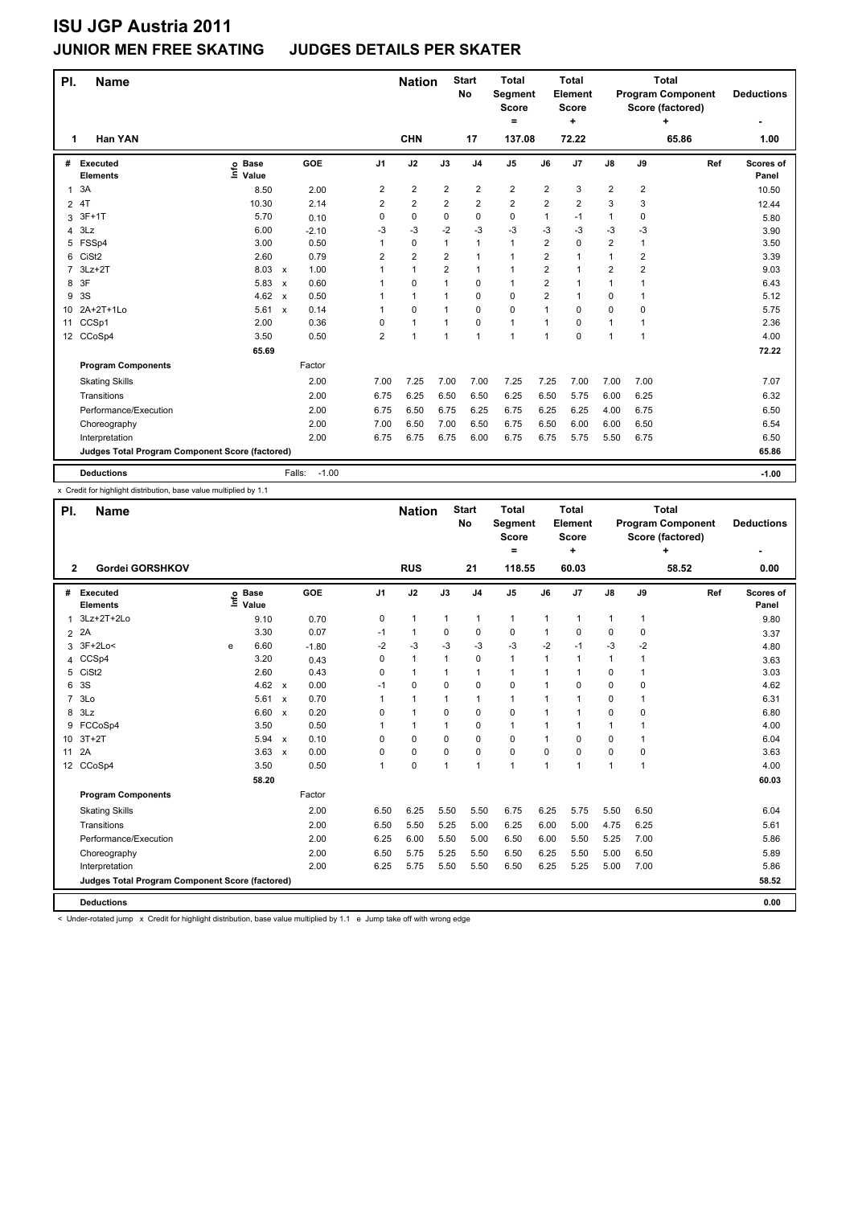### **JUNIOR MEN FREE SKATING JUDGES DETAILS PER SKATER**

| PI.            | <b>Name</b>                                     |                              |                           |                   |                | <b>Nation</b>  |                | <b>Start</b><br><b>No</b> | <b>Total</b><br>Segment<br><b>Score</b><br>= |                | <b>Total</b><br>Element<br>Score<br>٠ |                |              | <b>Total</b><br><b>Program Component</b><br>Score (factored)<br>÷ | <b>Deductions</b>  |
|----------------|-------------------------------------------------|------------------------------|---------------------------|-------------------|----------------|----------------|----------------|---------------------------|----------------------------------------------|----------------|---------------------------------------|----------------|--------------|-------------------------------------------------------------------|--------------------|
| 1              | Han YAN                                         |                              |                           |                   |                | <b>CHN</b>     |                | 17                        | 137.08                                       |                | 72.22                                 |                |              | 65.86                                                             | 1.00               |
| #              | Executed<br><b>Elements</b>                     | <b>Base</b><br>lnfo<br>Value |                           | GOE               | J <sub>1</sub> | J2             | J3             | J <sub>4</sub>            | J <sub>5</sub>                               | J6             | J <sub>7</sub>                        | $\mathsf{J}8$  | J9           | Ref                                                               | Scores of<br>Panel |
| $\mathbf{1}$   | 3A                                              | 8.50                         |                           | 2.00              | 2              | $\overline{2}$ | $\overline{2}$ | $\overline{\mathbf{c}}$   | 2                                            | 2              | 3                                     | 2              | 2            |                                                                   | 10.50              |
| $\overline{2}$ | 4T                                              | 10.30                        |                           | 2.14              | 2              | $\overline{2}$ | $\overline{2}$ | $\overline{2}$            | $\overline{2}$                               | $\overline{2}$ | $\overline{2}$                        | 3              | 3            |                                                                   | 12.44              |
| 3              | $3F+1T$                                         | 5.70                         |                           | 0.10              | 0              | $\mathbf 0$    | $\mathbf 0$    | 0                         | $\mathbf 0$                                  | 1              | $-1$                                  | 1              | 0            |                                                                   | 5.80               |
| 4              | 3Lz                                             | 6.00                         |                           | $-2.10$           | -3             | $-3$           | $-2$           | $-3$                      | $-3$                                         | $-3$           | $-3$                                  | $-3$           | -3           |                                                                   | 3.90               |
| 5              | FSSp4                                           | 3.00                         |                           | 0.50              |                | $\mathbf 0$    | 1              | $\mathbf{1}$              | $\mathbf{1}$                                 | $\overline{2}$ | $\mathbf 0$                           | $\overline{2}$ | $\mathbf{1}$ |                                                                   | 3.50               |
| 6              | CiSt <sub>2</sub>                               | 2.60                         |                           | 0.79              | 2              | $\overline{2}$ | $\overline{2}$ | $\mathbf{1}$              | 1                                            | $\overline{2}$ | $\mathbf{1}$                          | $\mathbf{1}$   | 2            |                                                                   | 3.39               |
| $\overline{7}$ | $3Lz+2T$                                        | 8.03                         | $\boldsymbol{\mathsf{x}}$ | 1.00              |                | $\mathbf{1}$   | $\overline{2}$ | $\mathbf{1}$              | 1                                            | 2              | $\mathbf{1}$                          | 2              | 2            |                                                                   | 9.03               |
| 8              | 3F                                              | 5.83                         | $\boldsymbol{\mathsf{x}}$ | 0.60              |                | 0              | $\mathbf 1$    | 0                         | 1                                            | $\overline{2}$ | $\mathbf{1}$                          | $\mathbf{1}$   | 1            |                                                                   | 6.43               |
| 9              | 3S                                              | 4.62                         | $\boldsymbol{\mathsf{x}}$ | 0.50              |                | $\mathbf{1}$   | $\mathbf 1$    | 0                         | $\mathbf 0$                                  | $\overline{2}$ | $\mathbf{1}$                          | 0              | 1            |                                                                   | 5.12               |
| 10             | 2A+2T+1Lo                                       | 5.61                         | $\boldsymbol{\mathsf{x}}$ | 0.14              |                | $\mathbf 0$    | 1              | $\mathbf 0$               | $\mathbf 0$                                  | 1              | 0                                     | 0              | 0            |                                                                   | 5.75               |
| 11             | CCSp1                                           | 2.00                         |                           | 0.36              | 0              | $\mathbf{1}$   | $\mathbf{1}$   | 0                         | 1                                            | 1              | 0                                     | $\mathbf{1}$   | 1            |                                                                   | 2.36               |
|                | 12 CCoSp4                                       | 3.50                         |                           | 0.50              | $\overline{2}$ | $\mathbf{1}$   | 1              | $\mathbf{1}$              | 1                                            | 1              | 0                                     | $\mathbf{1}$   | 1            |                                                                   | 4.00               |
|                |                                                 | 65.69                        |                           |                   |                |                |                |                           |                                              |                |                                       |                |              |                                                                   | 72.22              |
|                | <b>Program Components</b>                       |                              |                           | Factor            |                |                |                |                           |                                              |                |                                       |                |              |                                                                   |                    |
|                | <b>Skating Skills</b>                           |                              |                           | 2.00              | 7.00           | 7.25           | 7.00           | 7.00                      | 7.25                                         | 7.25           | 7.00                                  | 7.00           | 7.00         |                                                                   | 7.07               |
|                | Transitions                                     |                              |                           | 2.00              | 6.75           | 6.25           | 6.50           | 6.50                      | 6.25                                         | 6.50           | 5.75                                  | 6.00           | 6.25         |                                                                   | 6.32               |
|                | Performance/Execution                           |                              |                           | 2.00              | 6.75           | 6.50           | 6.75           | 6.25                      | 6.75                                         | 6.25           | 6.25                                  | 4.00           | 6.75         |                                                                   | 6.50               |
|                | Choreography                                    |                              |                           | 2.00              | 7.00           | 6.50           | 7.00           | 6.50                      | 6.75                                         | 6.50           | 6.00                                  | 6.00           | 6.50         |                                                                   | 6.54               |
|                | Interpretation                                  |                              |                           | 2.00              | 6.75           | 6.75           | 6.75           | 6.00                      | 6.75                                         | 6.75           | 5.75                                  | 5.50           | 6.75         |                                                                   | 6.50               |
|                | Judges Total Program Component Score (factored) |                              |                           |                   |                |                |                |                           |                                              |                |                                       |                |              |                                                                   | 65.86              |
|                | <b>Deductions</b>                               |                              |                           | $-1.00$<br>Falls: |                |                |                |                           |                                              |                |                                       |                |              |                                                                   | $-1.00$            |

x Credit for highlight distribution, base value multiplied by 1.1

| PI.            | <b>Name</b>                                     |      |                      |                           |            |                | <b>Nation</b> |              | <b>Start</b><br>No | <b>Total</b><br><b>Segment</b><br><b>Score</b><br>$=$ |      | <b>Total</b><br>Element<br><b>Score</b><br>÷ |               |              | <b>Total</b><br><b>Program Component</b><br>Score (factored)<br>÷ | <b>Deductions</b>  |
|----------------|-------------------------------------------------|------|----------------------|---------------------------|------------|----------------|---------------|--------------|--------------------|-------------------------------------------------------|------|----------------------------------------------|---------------|--------------|-------------------------------------------------------------------|--------------------|
| $\overline{2}$ | Gordei GORSHKOV                                 |      |                      |                           |            |                | <b>RUS</b>    |              | 21                 | 118.55                                                |      | 60.03                                        |               |              | 58.52                                                             | 0.00               |
| #              | Executed<br><b>Elements</b>                     | Life | <b>Base</b><br>Value |                           | <b>GOE</b> | J <sub>1</sub> | J2            | J3           | J <sub>4</sub>     | J <sub>5</sub>                                        | J6   | J <sub>7</sub>                               | $\mathsf{J}8$ | J9           | Ref                                                               | Scores of<br>Panel |
| $\mathbf{1}$   | 3Lz+2T+2Lo                                      |      | 9.10                 |                           | 0.70       | 0              | $\mathbf{1}$  | $\mathbf{1}$ | 1                  | $\mathbf{1}$                                          | 1    | $\mathbf{1}$                                 | $\mathbf{1}$  | 1            |                                                                   | 9.80               |
| $\overline{2}$ | 2A                                              |      | 3.30                 |                           | 0.07       | $-1$           | $\mathbf{1}$  | 0            | $\mathbf 0$        | 0                                                     | 1    | $\Omega$                                     | 0             | $\Omega$     |                                                                   | 3.37               |
| 3              | $3F+2Lo<$                                       | e    | 6.60                 |                           | $-1.80$    | $-2$           | -3            | $-3$         | $-3$               | $-3$                                                  | $-2$ | $-1$                                         | $-3$          | $-2$         |                                                                   | 4.80               |
| 4              | CCSp4                                           |      | 3.20                 |                           | 0.43       | $\Omega$       | $\mathbf{1}$  | 1            | $\Omega$           | $\mathbf{1}$                                          | 1    | $\mathbf{1}$                                 | $\mathbf{1}$  | 1            |                                                                   | 3.63               |
| 5              | CiSt <sub>2</sub>                               |      | 2.60                 |                           | 0.43       | 0              | $\mathbf{1}$  | 1            | $\mathbf{1}$       | $\mathbf{1}$                                          | 1    | 1                                            | 0             | 1            |                                                                   | 3.03               |
| 6              | 3S                                              |      | 4.62 $\times$        |                           | 0.00       | $-1$           | 0             | 0            | $\mathbf 0$        | 0                                                     | 1    | $\Omega$                                     | 0             | 0            |                                                                   | 4.62               |
| $\overline{7}$ | 3 <sub>LO</sub>                                 |      | 5.61                 | $\boldsymbol{\mathsf{x}}$ | 0.70       | 1              | $\mathbf{1}$  | $\mathbf{1}$ | $\mathbf{1}$       | $\mathbf{1}$                                          | 1    | $\mathbf{1}$                                 | 0             | $\mathbf{1}$ |                                                                   | 6.31               |
| 8              | 3Lz                                             |      | 6.60                 | $\boldsymbol{\mathsf{x}}$ | 0.20       | $\Omega$       | $\mathbf{1}$  | 0            | $\mathbf 0$        | $\Omega$                                              | 1    | 1                                            | 0             | $\Omega$     |                                                                   | 6.80               |
| 9              | FCCoSp4                                         |      | 3.50                 |                           | 0.50       | 1              | $\mathbf{1}$  | $\mathbf{1}$ | 0                  | $\mathbf{1}$                                          | 1    | 1                                            | $\mathbf{1}$  | 1            |                                                                   | 4.00               |
|                | 10 3T+2T                                        |      | 5.94                 | $\mathsf{x}$              | 0.10       | $\Omega$       | 0             | 0            | 0                  | 0                                                     | 1    | 0                                            | 0             | 1            |                                                                   | 6.04               |
| 11             | 2A                                              |      | 3.63                 | $\boldsymbol{\mathsf{x}}$ | 0.00       | $\Omega$       | 0             | $\Omega$     | $\Omega$           | 0                                                     | 0    | 0                                            | 0             | 0            |                                                                   | 3.63               |
|                | 12 CCoSp4                                       |      | 3.50                 |                           | 0.50       | 1              | 0             | $\mathbf{1}$ | $\overline{1}$     | $\mathbf{1}$                                          | 1    | 1                                            | 1             | 1            |                                                                   | 4.00               |
|                |                                                 |      | 58.20                |                           |            |                |               |              |                    |                                                       |      |                                              |               |              |                                                                   | 60.03              |
|                | <b>Program Components</b>                       |      |                      |                           | Factor     |                |               |              |                    |                                                       |      |                                              |               |              |                                                                   |                    |
|                | <b>Skating Skills</b>                           |      |                      |                           | 2.00       | 6.50           | 6.25          | 5.50         | 5.50               | 6.75                                                  | 6.25 | 5.75                                         | 5.50          | 6.50         |                                                                   | 6.04               |
|                | Transitions                                     |      |                      |                           | 2.00       | 6.50           | 5.50          | 5.25         | 5.00               | 6.25                                                  | 6.00 | 5.00                                         | 4.75          | 6.25         |                                                                   | 5.61               |
|                | Performance/Execution                           |      |                      |                           | 2.00       | 6.25           | 6.00          | 5.50         | 5.00               | 6.50                                                  | 6.00 | 5.50                                         | 5.25          | 7.00         |                                                                   | 5.86               |
|                | Choreography                                    |      |                      |                           | 2.00       | 6.50           | 5.75          | 5.25         | 5.50               | 6.50                                                  | 6.25 | 5.50                                         | 5.00          | 6.50         |                                                                   | 5.89               |
|                | Interpretation                                  |      |                      |                           | 2.00       | 6.25           | 5.75          | 5.50         | 5.50               | 6.50                                                  | 6.25 | 5.25                                         | 5.00          | 7.00         |                                                                   | 5.86               |
|                | Judges Total Program Component Score (factored) |      |                      |                           |            |                |               |              |                    |                                                       |      |                                              |               |              |                                                                   | 58.52              |
|                | <b>Deductions</b>                               |      |                      |                           |            |                |               |              |                    |                                                       |      |                                              |               |              |                                                                   | 0.00               |

< Under-rotated jump x Credit for highlight distribution, base value multiplied by 1.1 e Jump take off with wrong edge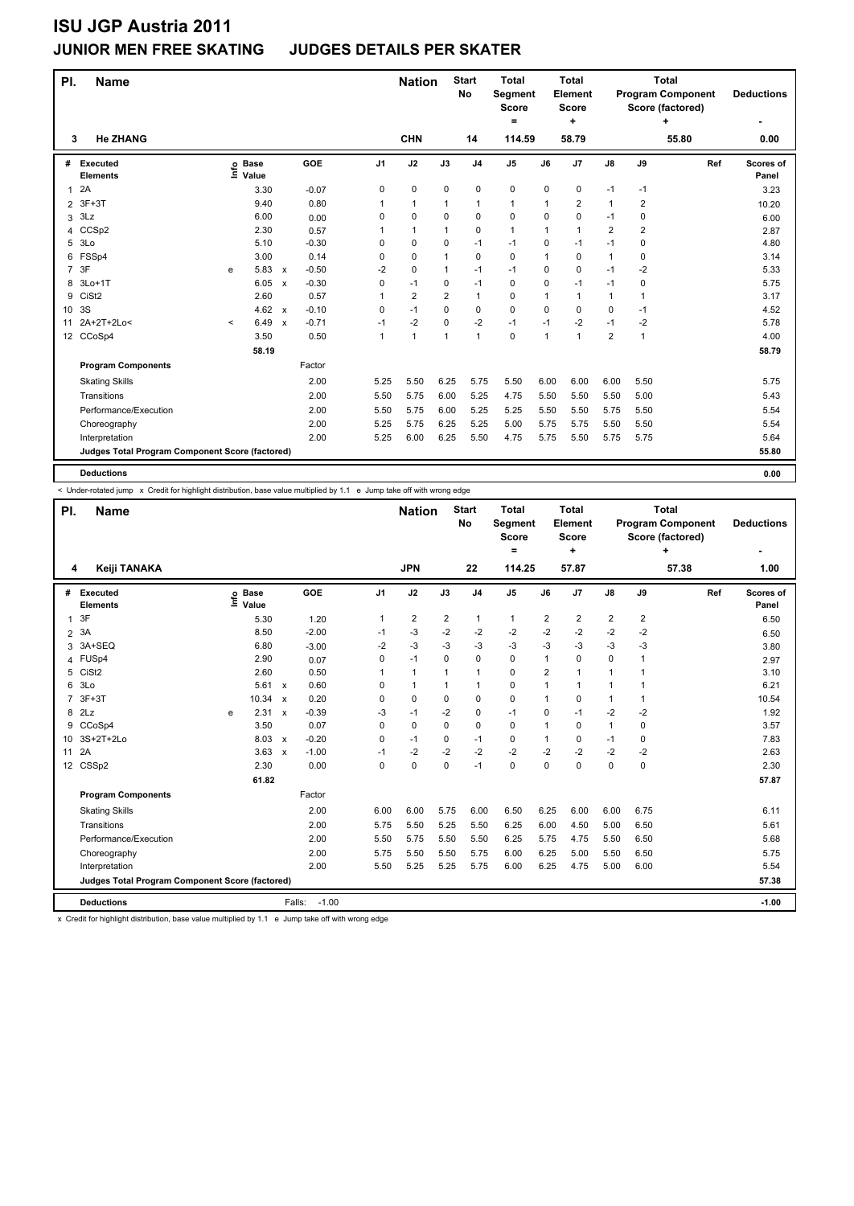### **JUNIOR MEN FREE SKATING JUDGES DETAILS PER SKATER**

| PI.            | <b>Name</b>                                     |         |                      |                           | <b>Nation</b> |                | <b>Start</b><br>No | <b>Total</b><br>Segment<br>Score<br>= |                | <b>Total</b><br><b>Element</b><br>Score<br>٠ |             |                      | <b>Total</b><br><b>Program Component</b><br>Score (factored)<br>٠ | <b>Deductions</b> |       |                    |
|----------------|-------------------------------------------------|---------|----------------------|---------------------------|---------------|----------------|--------------------|---------------------------------------|----------------|----------------------------------------------|-------------|----------------------|-------------------------------------------------------------------|-------------------|-------|--------------------|
| 3              | <b>He ZHANG</b>                                 |         |                      |                           |               |                | <b>CHN</b>         |                                       | 14             | 114.59                                       |             | 58.79                |                                                                   |                   | 55.80 | 0.00               |
| #              | Executed<br><b>Elements</b>                     | lnfo    | <b>Base</b><br>Value |                           | GOE           | J <sub>1</sub> | J2                 | J3                                    | J <sub>4</sub> | J <sub>5</sub>                               | J6          | J <sub>7</sub>       | $\mathsf{J}8$                                                     | J9                | Ref   | Scores of<br>Panel |
| $\mathbf{1}$   | 2A                                              |         | 3.30                 |                           | $-0.07$       | 0              | $\pmb{0}$          | 0                                     | $\mathbf 0$    | $\pmb{0}$                                    | 0           | 0                    | $-1$                                                              | $-1$              |       | 3.23               |
| $\overline{2}$ | $3F+3T$                                         |         | 9.40                 |                           | 0.80          | 1              | $\mathbf{1}$       | 1                                     | $\mathbf{1}$   | $\mathbf{1}$                                 | 1           | 2                    | 1                                                                 | 2                 |       | 10.20              |
| 3              | 3Lz                                             |         | 6.00                 |                           | 0.00          | 0              | $\mathbf 0$        | 0                                     | $\mathbf 0$    | 0                                            | 0           | 0                    | $-1$                                                              | 0                 |       | 6.00               |
| 4              | CCS <sub>p2</sub>                               |         | 2.30                 |                           | 0.57          | 1              | $\mathbf{1}$       |                                       | $\mathbf 0$    | $\mathbf{1}$                                 | 1           | 1                    | $\overline{2}$                                                    | $\overline{2}$    |       | 2.87               |
| 5              | 3 <sub>LO</sub>                                 |         | 5.10                 |                           | $-0.30$       | 0              | $\mathbf 0$        | 0                                     | $-1$           | $-1$                                         | 0           | $-1$                 | $-1$                                                              | 0                 |       | 4.80               |
| 6              | FSSp4                                           |         | 3.00                 |                           | 0.14          | 0              | 0                  | 1                                     | $\mathbf 0$    | 0                                            | 1           | $\Omega$             | 1                                                                 | 0                 |       | 3.14               |
| $\overline{7}$ | 3F                                              | e       | 5.83                 | $\boldsymbol{\mathsf{x}}$ | $-0.50$       | $-2$           | 0                  | $\mathbf{1}$                          | $-1$           | $-1$                                         | 0           | 0                    | $-1$                                                              | $-2$              |       | 5.33               |
| 8              | $3Lo+1T$                                        |         | 6.05                 | $\boldsymbol{\mathsf{x}}$ | $-0.30$       | 0              | $-1$               | 0                                     | $-1$           | 0                                            | 0           | $-1$                 | $-1$                                                              | 0                 |       | 5.75               |
| 9              | CiSt <sub>2</sub>                               |         | 2.60                 |                           | 0.57          | 1              | $\overline{2}$     | $\overline{2}$                        | $\mathbf{1}$   | 0                                            | $\mathbf 1$ | $\blacktriangleleft$ | 1                                                                 | 1                 |       | 3.17               |
| 10             | 3S                                              |         | 4.62                 | $\boldsymbol{\mathsf{x}}$ | $-0.10$       | 0              | $-1$               | 0                                     | $\mathbf 0$    | 0                                            | 0           | 0                    | 0                                                                 | $-1$              |       | 4.52               |
| 11             | 2A+2T+2Lo<                                      | $\prec$ | 6.49                 | $\boldsymbol{\mathsf{x}}$ | $-0.71$       | $-1$           | $-2$               | 0                                     | $-2$           | $-1$                                         | $-1$        | $-2$                 | $-1$                                                              | -2                |       | 5.78               |
|                | 12 CCoSp4                                       |         | 3.50                 |                           | 0.50          | 1              | $\mathbf{1}$       | 1                                     | $\mathbf{1}$   | $\mathbf 0$                                  | 1           | 1                    | $\overline{2}$                                                    | 1                 |       | 4.00               |
|                |                                                 |         | 58.19                |                           |               |                |                    |                                       |                |                                              |             |                      |                                                                   |                   |       | 58.79              |
|                | <b>Program Components</b>                       |         |                      |                           | Factor        |                |                    |                                       |                |                                              |             |                      |                                                                   |                   |       |                    |
|                | <b>Skating Skills</b>                           |         |                      |                           | 2.00          | 5.25           | 5.50               | 6.25                                  | 5.75           | 5.50                                         | 6.00        | 6.00                 | 6.00                                                              | 5.50              |       | 5.75               |
|                | Transitions                                     |         |                      |                           | 2.00          | 5.50           | 5.75               | 6.00                                  | 5.25           | 4.75                                         | 5.50        | 5.50                 | 5.50                                                              | 5.00              |       | 5.43               |
|                | Performance/Execution                           |         |                      |                           | 2.00          | 5.50           | 5.75               | 6.00                                  | 5.25           | 5.25                                         | 5.50        | 5.50                 | 5.75                                                              | 5.50              |       | 5.54               |
|                | Choreography                                    |         |                      |                           | 2.00          | 5.25           | 5.75               | 6.25                                  | 5.25           | 5.00                                         | 5.75        | 5.75                 | 5.50                                                              | 5.50              |       | 5.54               |
|                | Interpretation                                  |         |                      |                           | 2.00          | 5.25           | 6.00               | 6.25                                  | 5.50           | 4.75                                         | 5.75        | 5.50                 | 5.75                                                              | 5.75              |       | 5.64               |
|                | Judges Total Program Component Score (factored) |         |                      |                           |               |                |                    |                                       |                |                                              |             |                      |                                                                   |                   |       | 55.80              |
|                | <b>Deductions</b>                               |         |                      |                           |               |                |                    |                                       |                |                                              |             |                      |                                                                   |                   |       | 0.00               |

< Under-rotated jump x Credit for highlight distribution, base value multiplied by 1.1 e Jump take off with wrong edge

| PI.            | <b>Name</b>                                     |   |                            |                           |                   |      | <b>Nation</b>  |                | <b>Start</b><br><b>No</b> | <b>Total</b><br><b>Segment</b><br><b>Score</b><br>Ξ. |      | <b>Total</b><br>Element<br><b>Score</b><br>÷ |                         |                         | Total<br><b>Program Component</b><br>Score (factored)<br>÷ | <b>Deductions</b><br>٠ |
|----------------|-------------------------------------------------|---|----------------------------|---------------------------|-------------------|------|----------------|----------------|---------------------------|------------------------------------------------------|------|----------------------------------------------|-------------------------|-------------------------|------------------------------------------------------------|------------------------|
| 4              | Keiji TANAKA                                    |   |                            |                           |                   |      | <b>JPN</b>     |                | 22                        | 114.25                                               |      | 57.87                                        |                         |                         | 57.38                                                      | 1.00                   |
| #              | <b>Executed</b><br><b>Elements</b>              |   | e Base<br>E Value<br>Value |                           | GOE               | J1   | J2             | J3             | J <sub>4</sub>            | J <sub>5</sub>                                       | J6   | J7                                           | $\mathsf{J}8$           | J9                      | Ref                                                        | Scores of<br>Panel     |
| 1              | 3F                                              |   | 5.30                       |                           | 1.20              | 1    | $\overline{2}$ | $\overline{2}$ | 1                         | $\mathbf{1}$                                         | 2    | 2                                            | $\overline{\mathbf{c}}$ | $\overline{\mathbf{c}}$ |                                                            | 6.50                   |
| $\overline{2}$ | 3A                                              |   | 8.50                       |                           | $-2.00$           | -1   | $-3$           | $-2$           | $-2$                      | $-2$                                                 | $-2$ | $-2$                                         | $-2$                    | $-2$                    |                                                            | 6.50                   |
| 3              | 3A+SEQ                                          |   | 6.80                       |                           | $-3.00$           | $-2$ | $-3$           | $-3$           | $-3$                      | $-3$                                                 | $-3$ | $-3$                                         | $-3$                    | $-3$                    |                                                            | 3.80                   |
| 4              | FUS <sub>p4</sub>                               |   | 2.90                       |                           | 0.07              | 0    | $-1$           | 0              | 0                         | 0                                                    | 1    | 0                                            | 0                       | $\mathbf{1}$            |                                                            | 2.97                   |
| 5              | CiSt <sub>2</sub>                               |   | 2.60                       |                           | 0.50              |      | $\mathbf{1}$   | 1              | $\mathbf{1}$              | 0                                                    | 2    | 1                                            | 1                       | 1                       |                                                            | 3.10                   |
| 6              | 3Lo                                             |   | 5.61                       | $\mathsf{x}$              | 0.60              | 0    | $\mathbf{1}$   | $\mathbf 1$    | $\mathbf{1}$              | $\Omega$                                             | 1    | 1                                            | $\mathbf{1}$            | 1                       |                                                            | 6.21                   |
| $\overline{7}$ | $3F+3T$                                         |   | 10.34                      | $\mathsf{x}$              | 0.20              | 0    | $\mathbf 0$    | $\Omega$       | 0                         | 0                                                    | 1    | 0                                            | $\mathbf{1}$            | 1                       |                                                            | 10.54                  |
| 8              | 2Lz                                             | e | 2.31                       | $\mathsf{x}$              | $-0.39$           | -3   | $-1$           | $-2$           | 0                         | $-1$                                                 | 0    | $-1$                                         | $-2$                    | $-2$                    |                                                            | 1.92                   |
| 9              | CCoSp4                                          |   | 3.50                       |                           | 0.07              | 0    | $\mathbf 0$    | $\Omega$       | $\Omega$                  | $\Omega$                                             | 1    | $\Omega$                                     | $\mathbf{1}$            | $\Omega$                |                                                            | 3.57                   |
| 10             | 3S+2T+2Lo                                       |   | 8.03                       | $\boldsymbol{\mathsf{x}}$ | $-0.20$           | 0    | $-1$           | 0              | $-1$                      | 0                                                    | 1    | 0                                            | $-1$                    | 0                       |                                                            | 7.83                   |
| 11             | 2A                                              |   | 3.63                       | $\mathsf{x}$              | $-1.00$           | $-1$ | $-2$           | $-2$           | $-2$                      | $-2$                                                 | $-2$ | $-2$                                         | $-2$                    | $-2$                    |                                                            | 2.63                   |
|                | 12 CSSp2                                        |   | 2.30                       |                           | 0.00              | 0    | $\mathbf 0$    | $\Omega$       | $-1$                      | $\Omega$                                             | 0    | 0                                            | 0                       | 0                       |                                                            | 2.30                   |
|                |                                                 |   | 61.82                      |                           |                   |      |                |                |                           |                                                      |      |                                              |                         |                         |                                                            | 57.87                  |
|                | <b>Program Components</b>                       |   |                            |                           | Factor            |      |                |                |                           |                                                      |      |                                              |                         |                         |                                                            |                        |
|                | <b>Skating Skills</b>                           |   |                            |                           | 2.00              | 6.00 | 6.00           | 5.75           | 6.00                      | 6.50                                                 | 6.25 | 6.00                                         | 6.00                    | 6.75                    |                                                            | 6.11                   |
|                | Transitions                                     |   |                            |                           | 2.00              | 5.75 | 5.50           | 5.25           | 5.50                      | 6.25                                                 | 6.00 | 4.50                                         | 5.00                    | 6.50                    |                                                            | 5.61                   |
|                | Performance/Execution                           |   |                            |                           | 2.00              | 5.50 | 5.75           | 5.50           | 5.50                      | 6.25                                                 | 5.75 | 4.75                                         | 5.50                    | 6.50                    |                                                            | 5.68                   |
|                | Choreography                                    |   |                            |                           | 2.00              | 5.75 | 5.50           | 5.50           | 5.75                      | 6.00                                                 | 6.25 | 5.00                                         | 5.50                    | 6.50                    |                                                            | 5.75                   |
|                | Interpretation                                  |   |                            |                           | 2.00              | 5.50 | 5.25           | 5.25           | 5.75                      | 6.00                                                 | 6.25 | 4.75                                         | 5.00                    | 6.00                    |                                                            | 5.54                   |
|                | Judges Total Program Component Score (factored) |   |                            |                           |                   |      |                |                |                           |                                                      |      |                                              |                         |                         |                                                            | 57.38                  |
|                | <b>Deductions</b>                               |   |                            |                           | $-1.00$<br>Falls: |      |                |                |                           |                                                      |      |                                              |                         |                         |                                                            | $-1.00$                |

x Credit for highlight distribution, base value multiplied by 1.1 e Jump take off with wrong edge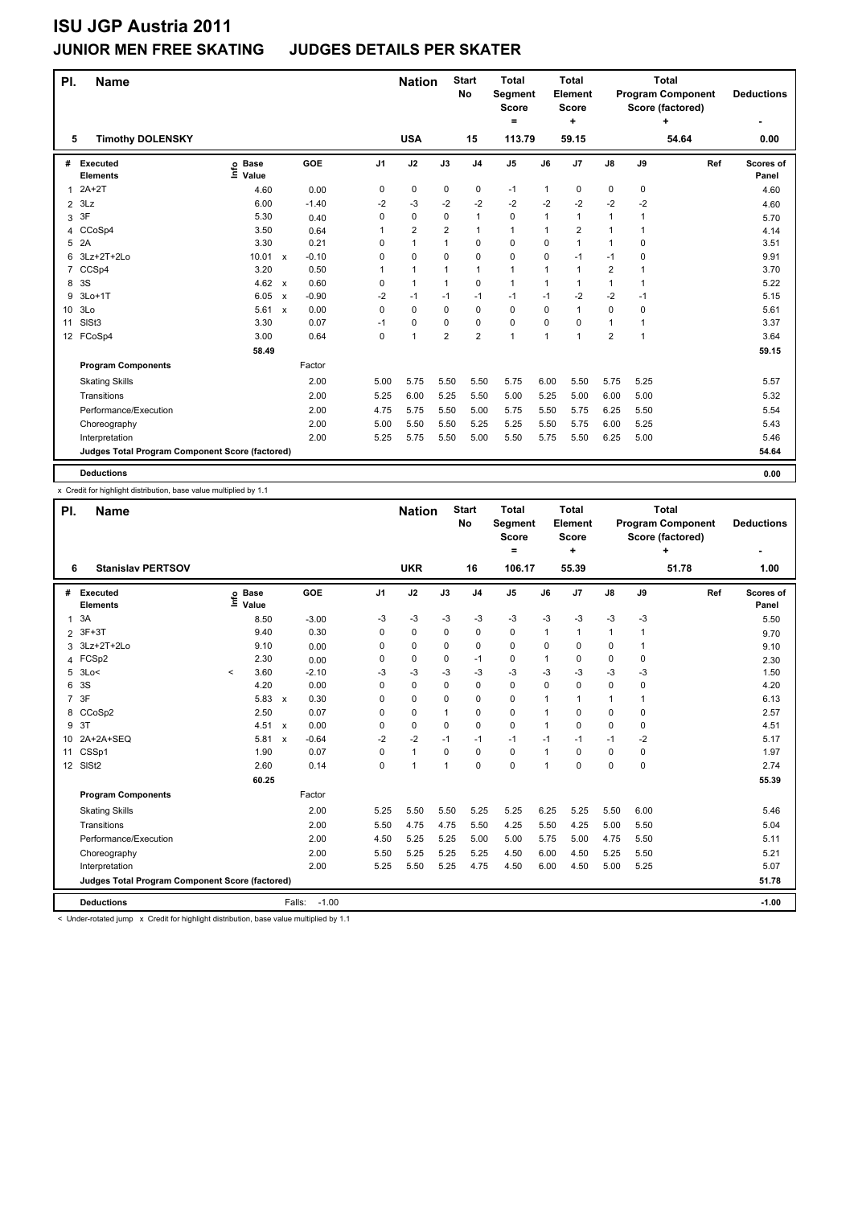### **JUNIOR MEN FREE SKATING JUDGES DETAILS PER SKATER**

| PI.             | <b>Name</b>                                     |                            |                           |         |                | <b>Nation</b>  |                | <b>Start</b><br>No | <b>Total</b><br>Segment<br><b>Score</b><br>= |              | <b>Total</b><br>Element<br><b>Score</b><br>٠ |                |      | <b>Total</b><br><b>Program Component</b><br>Score (factored)<br>٠ | <b>Deductions</b>  |
|-----------------|-------------------------------------------------|----------------------------|---------------------------|---------|----------------|----------------|----------------|--------------------|----------------------------------------------|--------------|----------------------------------------------|----------------|------|-------------------------------------------------------------------|--------------------|
| 5               | <b>Timothy DOLENSKY</b>                         |                            |                           |         |                | <b>USA</b>     |                | 15                 | 113.79                                       |              | 59.15                                        |                |      | 54.64                                                             | 0.00               |
| #               | Executed<br><b>Elements</b>                     | <b>Base</b><br>۴٥<br>Value |                           | GOE     | J <sub>1</sub> | J2             | J3             | J <sub>4</sub>     | J <sub>5</sub>                               | J6           | J <sub>7</sub>                               | J8             | J9   | Ref                                                               | Scores of<br>Panel |
| $\overline{1}$  | $2A+2T$                                         | 4.60                       |                           | 0.00    | 0              | 0              | 0              | $\mathbf 0$        | $-1$                                         | $\mathbf{1}$ | 0                                            | 0              | 0    |                                                                   | 4.60               |
| $\overline{2}$  | 3Lz                                             | 6.00                       |                           | $-1.40$ | -2             | -3             | $-2$           | $-2$               | $-2$                                         | $-2$         | $-2$                                         | $-2$           | $-2$ |                                                                   | 4.60               |
| 3               | 3F                                              | 5.30                       |                           | 0.40    | 0              | $\mathbf 0$    | 0              | $\mathbf{1}$       | 0                                            | 1            | 1                                            | 1              | 1    |                                                                   | 5.70               |
| 4               | CCoSp4                                          | 3.50                       |                           | 0.64    |                | $\overline{2}$ | $\overline{2}$ | $\mathbf{1}$       | $\mathbf{1}$                                 |              | $\overline{2}$                               | 1              | 1    |                                                                   | 4.14               |
| 5               | 2A                                              | 3.30                       |                           | 0.21    | $\Omega$       | $\mathbf{1}$   | 1              | $\mathbf 0$        | $\mathbf 0$                                  | 0            | 1                                            | 1              | 0    |                                                                   | 3.51               |
| 6               | 3Lz+2T+2Lo                                      | 10.01                      | $\mathsf{x}$              | $-0.10$ | 0              | $\mathbf 0$    | $\Omega$       | $\mathbf 0$        | $\mathbf 0$                                  | 0            | $-1$                                         | $-1$           | 0    |                                                                   | 9.91               |
| $\overline{7}$  | CCSp4                                           | 3.20                       |                           | 0.50    | 1              | $\mathbf{1}$   | 1              | $\mathbf{1}$       | $\mathbf{1}$                                 | $\mathbf{1}$ | $\mathbf{1}$                                 | $\overline{2}$ | 1    |                                                                   | 3.70               |
| 8               | 3S                                              | 4.62                       | $\mathsf{x}$              | 0.60    | 0              | $\mathbf{1}$   | 1              | $\mathbf 0$        | $\mathbf{1}$                                 | 1            | $\overline{1}$                               | $\mathbf{1}$   | 1    |                                                                   | 5.22               |
| 9               | $3Lo+1T$                                        | 6.05                       | $\mathsf{x}$              | $-0.90$ | $-2$           | $-1$           | $-1$           | $-1$               | $-1$                                         | $-1$         | $-2$                                         | $-2$           | -1   |                                                                   | 5.15               |
| 10 <sup>°</sup> | 3Lo                                             | 5.61                       | $\boldsymbol{\mathsf{x}}$ | 0.00    | 0              | $\mathbf 0$    | $\mathbf 0$    | $\mathbf 0$        | $\mathbf 0$                                  | 0            | 1                                            | 0              | 0    |                                                                   | 5.61               |
| 11              | SIS <sub>t3</sub>                               | 3.30                       |                           | 0.07    | $-1$           | $\mathbf 0$    | 0              | $\mathbf 0$        | $\mathbf 0$                                  | 0            | 0                                            | $\mathbf{1}$   | 1    |                                                                   | 3.37               |
|                 | 12 FCoSp4                                       | 3.00                       |                           | 0.64    | $\Omega$       | $\overline{1}$ | $\overline{2}$ | $\overline{2}$     | $\mathbf{1}$                                 | 1            | 1                                            | $\overline{2}$ | 1    |                                                                   | 3.64               |
|                 |                                                 | 58.49                      |                           |         |                |                |                |                    |                                              |              |                                              |                |      |                                                                   | 59.15              |
|                 | <b>Program Components</b>                       |                            |                           | Factor  |                |                |                |                    |                                              |              |                                              |                |      |                                                                   |                    |
|                 | <b>Skating Skills</b>                           |                            |                           | 2.00    | 5.00           | 5.75           | 5.50           | 5.50               | 5.75                                         | 6.00         | 5.50                                         | 5.75           | 5.25 |                                                                   | 5.57               |
|                 | Transitions                                     |                            |                           | 2.00    | 5.25           | 6.00           | 5.25           | 5.50               | 5.00                                         | 5.25         | 5.00                                         | 6.00           | 5.00 |                                                                   | 5.32               |
|                 | Performance/Execution                           |                            |                           | 2.00    | 4.75           | 5.75           | 5.50           | 5.00               | 5.75                                         | 5.50         | 5.75                                         | 6.25           | 5.50 |                                                                   | 5.54               |
|                 | Choreography                                    |                            |                           | 2.00    | 5.00           | 5.50           | 5.50           | 5.25               | 5.25                                         | 5.50         | 5.75                                         | 6.00           | 5.25 |                                                                   | 5.43               |
|                 | Interpretation                                  |                            |                           | 2.00    | 5.25           | 5.75           | 5.50           | 5.00               | 5.50                                         | 5.75         | 5.50                                         | 6.25           | 5.00 |                                                                   | 5.46               |
|                 | Judges Total Program Component Score (factored) |                            |                           |         |                |                |                |                    |                                              |              |                                              |                |      |                                                                   | 54.64              |
|                 | <b>Deductions</b>                               |                            |                           |         |                |                |                |                    |                                              |              |                                              |                |      |                                                                   | 0.00               |

x Credit for highlight distribution, base value multiplied by 1.1

| PI.            | <b>Name</b>                                     |         |                      |                           |                   |                | <b>Nation</b> |              | <b>Start</b><br>No | <b>Total</b><br><b>Segment</b><br><b>Score</b><br>$=$ |      | Total<br>Element<br><b>Score</b><br>÷ |               |              | <b>Total</b><br><b>Program Component</b><br>Score (factored)<br>÷ | <b>Deductions</b>  |
|----------------|-------------------------------------------------|---------|----------------------|---------------------------|-------------------|----------------|---------------|--------------|--------------------|-------------------------------------------------------|------|---------------------------------------|---------------|--------------|-------------------------------------------------------------------|--------------------|
| 6              | <b>Stanislav PERTSOV</b>                        |         |                      |                           |                   |                | <b>UKR</b>    |              | 16                 | 106.17                                                |      | 55.39                                 |               |              | 51.78                                                             | 1.00               |
| #              | Executed<br><b>Elements</b>                     | Life    | <b>Base</b><br>Value |                           | <b>GOE</b>        | J <sub>1</sub> | J2            | J3           | J <sub>4</sub>     | J <sub>5</sub>                                        | J6   | J <sub>7</sub>                        | $\mathsf{J}8$ | J9           | Ref                                                               | Scores of<br>Panel |
| $\mathbf{1}$   | 3A                                              |         | 8.50                 |                           | $-3.00$           | -3             | $-3$          | $-3$         | $-3$               | $-3$                                                  | $-3$ | $-3$                                  | $-3$          | $-3$         |                                                                   | 5.50               |
| 2              | $3F+3T$                                         |         | 9.40                 |                           | 0.30              | $\Omega$       | 0             | 0            | $\mathbf 0$        | 0                                                     | 1    | 1                                     | 1             | 1            |                                                                   | 9.70               |
| 3              | 3Lz+2T+2Lo                                      |         | 9.10                 |                           | 0.00              | $\Omega$       | 0             | 0            | 0                  | 0                                                     | 0    | 0                                     | 0             | $\mathbf{1}$ |                                                                   | 9.10               |
| 4              | FCSp2                                           |         | 2.30                 |                           | 0.00              | 0              | 0             | 0            | $-1$               | 0                                                     | 1    | 0                                     | 0             | 0            |                                                                   | 2.30               |
| 5              | 3Lo<                                            | $\prec$ | 3.60                 |                           | $-2.10$           | $-3$           | -3            | -3           | $-3$               | $-3$                                                  | $-3$ | $-3$                                  | $-3$          | -3           |                                                                   | 1.50               |
| 6              | 3S                                              |         | 4.20                 |                           | 0.00              | $\Omega$       | $\mathbf 0$   | $\Omega$     | $\mathbf 0$        | 0                                                     | 0    | $\Omega$                              | 0             | $\mathbf 0$  |                                                                   | 4.20               |
| $\overline{7}$ | 3F                                              |         | 5.83                 | $\boldsymbol{\mathsf{x}}$ | 0.30              | 0              | $\mathbf 0$   | 0            | $\mathbf 0$        | 0                                                     | 1    | $\mathbf{1}$                          | $\mathbf{1}$  | $\mathbf{1}$ |                                                                   | 6.13               |
| 8              | CCoSp2                                          |         | 2.50                 |                           | 0.07              | $\Omega$       | 0             | $\mathbf{1}$ | $\Omega$           | $\Omega$                                              | 1    | 0                                     | 0             | $\Omega$     |                                                                   | 2.57               |
| 9              | 3T                                              |         | 4.51                 | $\boldsymbol{\mathsf{x}}$ | 0.00              | 0              | 0             | 0            | $\Omega$           | 0                                                     | 1    | 0                                     | 0             | $\mathbf 0$  |                                                                   | 4.51               |
|                | 10 2A+2A+SEQ                                    |         | 5.81                 | $\boldsymbol{\mathsf{x}}$ | $-0.64$           | $-2$           | $-2$          | $-1$         | $-1$               | $-1$                                                  | $-1$ | $-1$                                  | $-1$          | $-2$         |                                                                   | 5.17               |
| 11             | CSSp1                                           |         | 1.90                 |                           | 0.07              | $\Omega$       | $\mathbf{1}$  | $\Omega$     | $\Omega$           | 0                                                     | 1    | 0                                     | 0             | $\Omega$     |                                                                   | 1.97               |
|                | 12 SISt2                                        |         | 2.60                 |                           | 0.14              | $\Omega$       | 1             | $\mathbf{1}$ | $\Omega$           | $\Omega$                                              | 1    | 0                                     | 0             | $\Omega$     |                                                                   | 2.74               |
|                |                                                 |         | 60.25                |                           |                   |                |               |              |                    |                                                       |      |                                       |               |              |                                                                   | 55.39              |
|                | <b>Program Components</b>                       |         |                      |                           | Factor            |                |               |              |                    |                                                       |      |                                       |               |              |                                                                   |                    |
|                | <b>Skating Skills</b>                           |         |                      |                           | 2.00              | 5.25           | 5.50          | 5.50         | 5.25               | 5.25                                                  | 6.25 | 5.25                                  | 5.50          | 6.00         |                                                                   | 5.46               |
|                | Transitions                                     |         |                      |                           | 2.00              | 5.50           | 4.75          | 4.75         | 5.50               | 4.25                                                  | 5.50 | 4.25                                  | 5.00          | 5.50         |                                                                   | 5.04               |
|                | Performance/Execution                           |         |                      |                           | 2.00              | 4.50           | 5.25          | 5.25         | 5.00               | 5.00                                                  | 5.75 | 5.00                                  | 4.75          | 5.50         |                                                                   | 5.11               |
|                | Choreography                                    |         |                      |                           | 2.00              | 5.50           | 5.25          | 5.25         | 5.25               | 4.50                                                  | 6.00 | 4.50                                  | 5.25          | 5.50         |                                                                   | 5.21               |
|                | Interpretation                                  |         |                      |                           | 2.00              | 5.25           | 5.50          | 5.25         | 4.75               | 4.50                                                  | 6.00 | 4.50                                  | 5.00          | 5.25         |                                                                   | 5.07               |
|                | Judges Total Program Component Score (factored) |         |                      |                           |                   |                |               |              |                    |                                                       |      |                                       |               |              |                                                                   | 51.78              |
|                | <b>Deductions</b>                               |         |                      |                           | $-1.00$<br>Falls: |                |               |              |                    |                                                       |      |                                       |               |              |                                                                   | $-1.00$            |

< Under-rotated jump x Credit for highlight distribution, base value multiplied by 1.1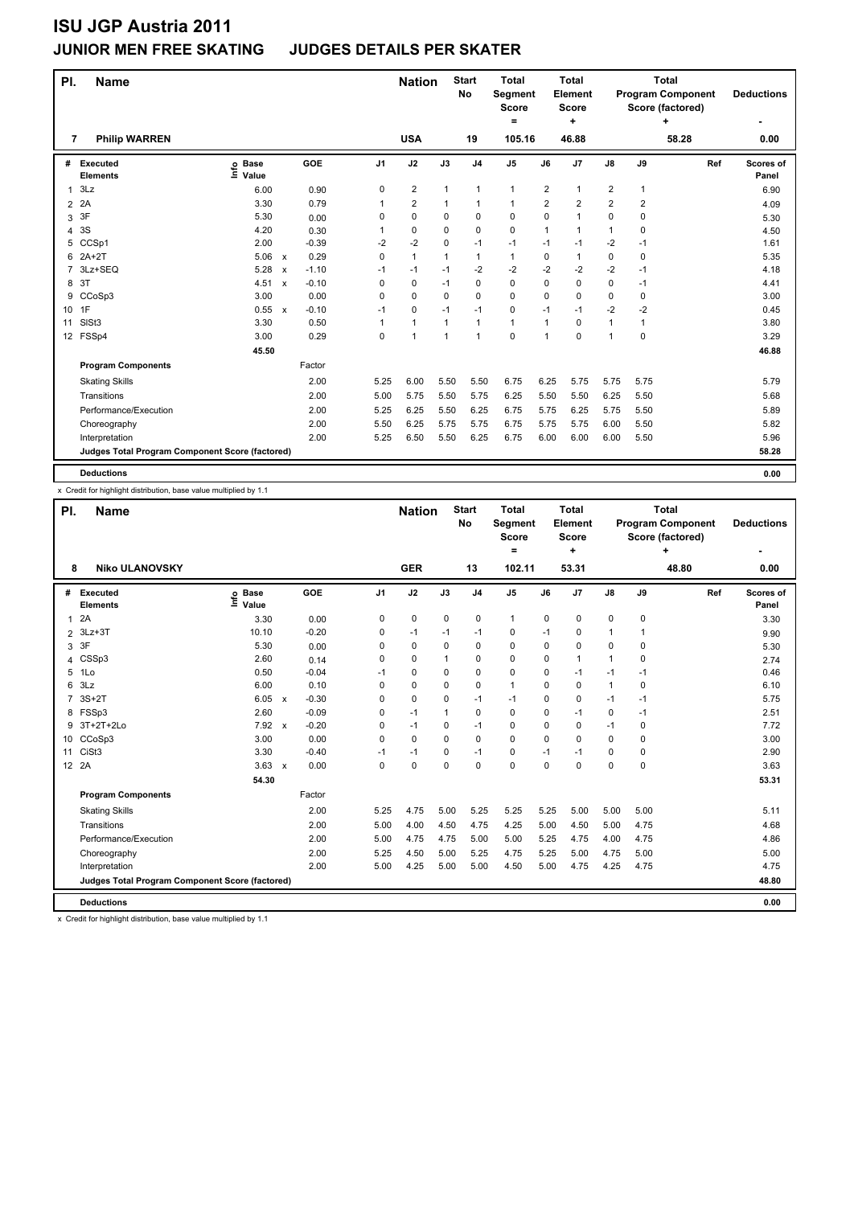### **JUNIOR MEN FREE SKATING JUDGES DETAILS PER SKATER**

| PI.            | <b>Name</b>                                     |                              |              |         |                | <b>Nation</b>  |              | <b>Start</b><br><b>No</b> | <b>Total</b><br>Segment<br><b>Score</b><br>= |      | <b>Total</b><br>Element<br>Score<br>٠ |                         |              | <b>Total</b><br><b>Program Component</b><br>Score (factored)<br>٠ | <b>Deductions</b>  |
|----------------|-------------------------------------------------|------------------------------|--------------|---------|----------------|----------------|--------------|---------------------------|----------------------------------------------|------|---------------------------------------|-------------------------|--------------|-------------------------------------------------------------------|--------------------|
| 7              | <b>Philip WARREN</b>                            |                              |              |         |                | <b>USA</b>     |              | 19                        | 105.16                                       |      | 46.88                                 |                         |              | 58.28                                                             | 0.00               |
| #              | Executed<br><b>Elements</b>                     | <b>Base</b><br>lnfo<br>Value |              | GOE     | J <sub>1</sub> | J2             | J3           | J <sub>4</sub>            | J <sub>5</sub>                               | J6   | J7                                    | $\mathsf{J}8$           | J9           | Ref                                                               | Scores of<br>Panel |
| 1              | 3Lz                                             | 6.00                         |              | 0.90    | 0              | $\overline{2}$ | $\mathbf{1}$ | $\mathbf{1}$              | $\mathbf{1}$                                 | 2    | 1                                     | $\overline{\mathbf{c}}$ | $\mathbf{1}$ |                                                                   | 6.90               |
| $\overline{2}$ | 2A                                              | 3.30                         |              | 0.79    |                | $\overline{2}$ | 1            | $\mathbf{1}$              | $\mathbf{1}$                                 | 2    | $\overline{2}$                        | $\overline{\mathbf{c}}$ | 2            |                                                                   | 4.09               |
| 3              | 3F                                              | 5.30                         |              | 0.00    | 0              | $\mathbf 0$    | 0            | $\mathbf 0$               | $\mathbf 0$                                  | 0    | 1                                     | 0                       | 0            |                                                                   | 5.30               |
| 4              | 3S                                              | 4.20                         |              | 0.30    |                | $\mathbf 0$    | $\Omega$     | $\mathbf 0$               | $\mathbf 0$                                  | 1    | 1                                     | $\mathbf{1}$            | 0            |                                                                   | 4.50               |
| 5              | CCSp1                                           | 2.00                         |              | $-0.39$ | $-2$           | $-2$           | $\Omega$     | $-1$                      | $-1$                                         | $-1$ | $-1$                                  | $-2$                    | $-1$         |                                                                   | 1.61               |
| 6              | $2A+2T$                                         | 5.06                         | $\mathsf{x}$ | 0.29    | 0              | $\mathbf{1}$   | $\mathbf{1}$ | $\mathbf{1}$              | $\mathbf{1}$                                 | 0    | 1                                     | 0                       | 0            |                                                                   | 5.35               |
| 7              | 3Lz+SEQ                                         | 5.28                         | $\mathsf{x}$ | $-1.10$ | $-1$           | $-1$           | $-1$         | $-2$                      | -2                                           | -2   | $-2$                                  | $-2$                    | $-1$         |                                                                   | 4.18               |
| 8              | 3T                                              | 4.51                         | $\mathsf{x}$ | $-0.10$ | 0              | $\mathbf 0$    | -1           | 0                         | $\mathbf 0$                                  | 0    | 0                                     | 0                       | $-1$         |                                                                   | 4.41               |
| 9              | CCoSp3                                          | 3.00                         |              | 0.00    | 0              | $\mathbf 0$    | $\Omega$     | 0                         | 0                                            | 0    | 0                                     | 0                       | 0            |                                                                   | 3.00               |
| 10 1F          |                                                 | 0.55                         | $\mathsf{x}$ | $-0.10$ | $-1$           | $\mathbf 0$    | $-1$         | $-1$                      | 0                                            | $-1$ | $-1$                                  | $-2$                    | $-2$         |                                                                   | 0.45               |
| 11             | SISt <sub>3</sub>                               | 3.30                         |              | 0.50    |                | $\mathbf{1}$   | $\mathbf{1}$ | $\mathbf{1}$              | $\mathbf{1}$                                 | 1    | $\Omega$                              | $\mathbf{1}$            | 1            |                                                                   | 3.80               |
|                | 12 FSSp4                                        | 3.00                         |              | 0.29    | 0              | $\overline{1}$ | 1            | $\mathbf{1}$              | $\mathbf 0$                                  | 1    | 0                                     | $\mathbf{1}$            | 0            |                                                                   | 3.29               |
|                |                                                 | 45.50                        |              |         |                |                |              |                           |                                              |      |                                       |                         |              |                                                                   | 46.88              |
|                | <b>Program Components</b>                       |                              |              | Factor  |                |                |              |                           |                                              |      |                                       |                         |              |                                                                   |                    |
|                | <b>Skating Skills</b>                           |                              |              | 2.00    | 5.25           | 6.00           | 5.50         | 5.50                      | 6.75                                         | 6.25 | 5.75                                  | 5.75                    | 5.75         |                                                                   | 5.79               |
|                | Transitions                                     |                              |              | 2.00    | 5.00           | 5.75           | 5.50         | 5.75                      | 6.25                                         | 5.50 | 5.50                                  | 6.25                    | 5.50         |                                                                   | 5.68               |
|                | Performance/Execution                           |                              |              | 2.00    | 5.25           | 6.25           | 5.50         | 6.25                      | 6.75                                         | 5.75 | 6.25                                  | 5.75                    | 5.50         |                                                                   | 5.89               |
|                | Choreography                                    |                              |              | 2.00    | 5.50           | 6.25           | 5.75         | 5.75                      | 6.75                                         | 5.75 | 5.75                                  | 6.00                    | 5.50         |                                                                   | 5.82               |
|                | Interpretation                                  |                              |              | 2.00    | 5.25           | 6.50           | 5.50         | 6.25                      | 6.75                                         | 6.00 | 6.00                                  | 6.00                    | 5.50         |                                                                   | 5.96               |
|                | Judges Total Program Component Score (factored) |                              |              |         |                |                |              |                           |                                              |      |                                       |                         |              |                                                                   | 58.28              |
|                | <b>Deductions</b>                               |                              |              |         |                |                |              |                           |                                              |      |                                       |                         |              |                                                                   | 0.00               |

x Credit for highlight distribution, base value multiplied by 1.1

| PI.            | <b>Name</b>                                     |                            |                           |            |                | <b>Nation</b> |              | <b>Start</b><br>No | <b>Total</b><br>Segment<br><b>Score</b><br>$=$ |             | <b>Total</b><br>Element<br><b>Score</b><br>÷ |              |             | <b>Total</b><br><b>Program Component</b><br>Score (factored)<br>٠ | <b>Deductions</b>  |
|----------------|-------------------------------------------------|----------------------------|---------------------------|------------|----------------|---------------|--------------|--------------------|------------------------------------------------|-------------|----------------------------------------------|--------------|-------------|-------------------------------------------------------------------|--------------------|
| 8              | <b>Niko ULANOVSKY</b>                           |                            |                           |            |                | <b>GER</b>    |              | 13                 | 102.11                                         |             | 53.31                                        |              |             | 48.80                                                             | 0.00               |
| #              | Executed<br><b>Elements</b>                     | <b>Base</b><br>۴٥<br>Value |                           | <b>GOE</b> | J <sub>1</sub> | J2            | J3           | J <sub>4</sub>     | J <sub>5</sub>                                 | J6          | J <sub>7</sub>                               | J8           | J9          | Ref                                                               | Scores of<br>Panel |
| $\mathbf{1}$   | 2A                                              | 3.30                       |                           | 0.00       | 0              | 0             | $\mathbf 0$  | $\mathbf 0$        | $\mathbf{1}$                                   | $\mathbf 0$ | 0                                            | 0            | $\mathbf 0$ |                                                                   | 3.30               |
| $\overline{2}$ | $3Lz + 3T$                                      | 10.10                      |                           | $-0.20$    | 0              | $-1$          | $-1$         | $-1$               | 0                                              | $-1$        | 0                                            | 1            | 1           |                                                                   | 9.90               |
| 3              | 3F                                              | 5.30                       |                           | 0.00       | 0              | 0             | 0            | $\mathbf 0$        | 0                                              | 0           | 0                                            | 0            | 0           |                                                                   | 5.30               |
| 4              | CSSp3                                           | 2.60                       |                           | 0.14       | $\Omega$       | 0             | 1            | $\Omega$           | 0                                              | 0           | 1                                            | 1            | $\Omega$    |                                                                   | 2.74               |
| 5              | 1Lo                                             | 0.50                       |                           | $-0.04$    | $-1$           | 0             | 0            | 0                  | 0                                              | 0           | $-1$                                         | $-1$         | -1          |                                                                   | 0.46               |
| 6              | 3Lz                                             | 6.00                       |                           | 0.10       | 0              | 0             | 0            | $\mathbf 0$        | 1                                              | 0           | 0                                            | $\mathbf{1}$ | 0           |                                                                   | 6.10               |
|                | $3S+2T$                                         | 6.05                       | $\boldsymbol{\mathsf{x}}$ | $-0.30$    | $\Omega$       | $\mathbf 0$   | 0            | $-1$               | $-1$                                           | 0           | 0                                            | $-1$         | $-1$        |                                                                   | 5.75               |
| 8              | FSSp3                                           | 2.60                       |                           | $-0.09$    | 0              | $-1$          | $\mathbf{1}$ | 0                  | 0                                              | 0           | $-1$                                         | 0            | $-1$        |                                                                   | 2.51               |
| 9              | 3T+2T+2Lo                                       | 7.92                       | $\mathbf{x}$              | $-0.20$    | $\Omega$       | $-1$          | 0            | $-1$               | $\Omega$                                       | 0           | 0                                            | $-1$         | $\Omega$    |                                                                   | 7.72               |
| 10             | CCoSp3                                          | 3.00                       |                           | 0.00       | $\Omega$       | 0             | $\Omega$     | $\Omega$           | $\Omega$                                       | $\Omega$    | 0                                            | 0            | $\Omega$    |                                                                   | 3.00               |
| 11             | CiSt <sub>3</sub>                               | 3.30                       |                           | $-0.40$    | $-1$           | $-1$          | 0            | $-1$               | 0                                              | $-1$        | $-1$                                         | 0            | 0           |                                                                   | 2.90               |
|                | 12 2A                                           | $3.63 \times$              |                           | 0.00       | $\Omega$       | $\Omega$      | 0            | $\Omega$           | $\Omega$                                       | 0           | $\Omega$                                     | 0            | $\Omega$    |                                                                   | 3.63               |
|                |                                                 | 54.30                      |                           |            |                |               |              |                    |                                                |             |                                              |              |             |                                                                   | 53.31              |
|                | <b>Program Components</b>                       |                            |                           | Factor     |                |               |              |                    |                                                |             |                                              |              |             |                                                                   |                    |
|                | <b>Skating Skills</b>                           |                            |                           | 2.00       | 5.25           | 4.75          | 5.00         | 5.25               | 5.25                                           | 5.25        | 5.00                                         | 5.00         | 5.00        |                                                                   | 5.11               |
|                | Transitions                                     |                            |                           | 2.00       | 5.00           | 4.00          | 4.50         | 4.75               | 4.25                                           | 5.00        | 4.50                                         | 5.00         | 4.75        |                                                                   | 4.68               |
|                | Performance/Execution                           |                            |                           | 2.00       | 5.00           | 4.75          | 4.75         | 5.00               | 5.00                                           | 5.25        | 4.75                                         | 4.00         | 4.75        |                                                                   | 4.86               |
|                | Choreography                                    |                            |                           | 2.00       | 5.25           | 4.50          | 5.00         | 5.25               | 4.75                                           | 5.25        | 5.00                                         | 4.75         | 5.00        |                                                                   | 5.00               |
|                | Interpretation                                  |                            |                           | 2.00       | 5.00           | 4.25          | 5.00         | 5.00               | 4.50                                           | 5.00        | 4.75                                         | 4.25         | 4.75        |                                                                   | 4.75               |
|                | Judges Total Program Component Score (factored) |                            |                           |            |                |               |              |                    |                                                |             |                                              |              |             |                                                                   | 48.80              |
|                | <b>Deductions</b>                               |                            |                           |            |                |               |              |                    |                                                |             |                                              |              |             |                                                                   | 0.00               |

x Credit for highlight distribution, base value multiplied by 1.1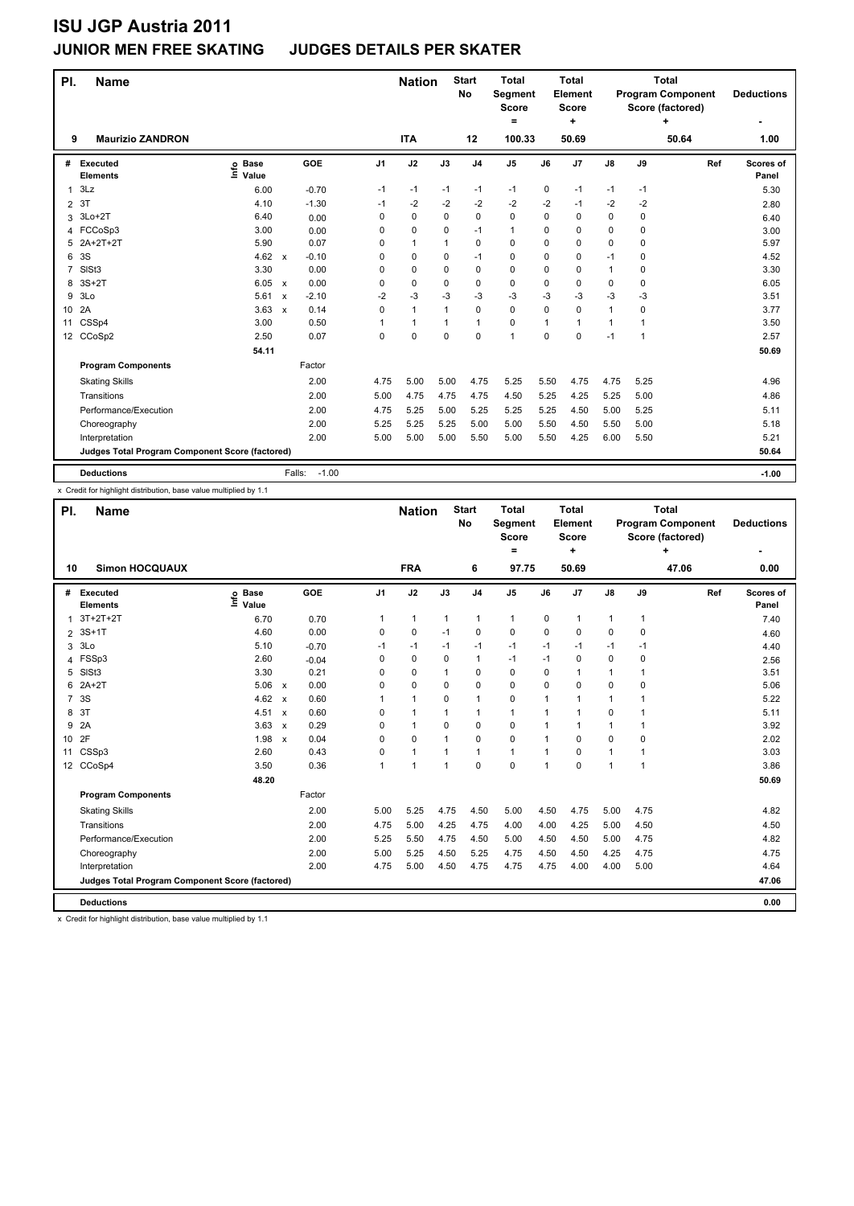### **JUNIOR MEN FREE SKATING JUDGES DETAILS PER SKATER**

| PI.             | <b>Name</b>                                     |                            |                           |         |                | <b>Nation</b> |              | <b>Start</b><br>No | <b>Total</b><br>Segment<br><b>Score</b><br>٠ |          | <b>Total</b><br>Element<br><b>Score</b><br>÷ |              |             | <b>Total</b><br><b>Program Component</b><br>Score (factored)<br>٠ | <b>Deductions</b>  |
|-----------------|-------------------------------------------------|----------------------------|---------------------------|---------|----------------|---------------|--------------|--------------------|----------------------------------------------|----------|----------------------------------------------|--------------|-------------|-------------------------------------------------------------------|--------------------|
| 9               | <b>Maurizio ZANDRON</b>                         |                            |                           |         |                | <b>ITA</b>    |              | 12                 | 100.33                                       |          | 50.69                                        |              |             | 50.64                                                             | 1.00               |
| #               | Executed<br><b>Elements</b>                     | <b>Base</b><br>۴٥<br>Value |                           | GOE     | J <sub>1</sub> | J2            | J3           | J <sub>4</sub>     | J <sub>5</sub>                               | J6       | J7                                           | J8           | J9          | Ref                                                               | Scores of<br>Panel |
| 1               | 3Lz                                             | 6.00                       |                           | $-0.70$ | $-1$           | $-1$          | $-1$         | $-1$               | $-1$                                         | 0        | $-1$                                         | $-1$         | -1          |                                                                   | 5.30               |
| $\overline{2}$  | 3T                                              | 4.10                       |                           | $-1.30$ | $-1$           | $-2$          | $-2$         | $-2$               | $-2$                                         | $-2$     | $-1$                                         | -2           | -2          |                                                                   | 2.80               |
| 3               | $3Lo+2T$                                        | 6.40                       |                           | 0.00    | 0              | 0             | 0            | $\mathbf 0$        | 0                                            | 0        | $\mathbf 0$                                  | 0            | $\mathbf 0$ |                                                                   | 6.40               |
| 4               | FCCoSp3                                         | 3.00                       |                           | 0.00    | 0              | 0             | 0            | $-1$               | $\mathbf{1}$                                 | 0        | 0                                            | 0            | 0           |                                                                   | 3.00               |
| 5               | 2A+2T+2T                                        | 5.90                       |                           | 0.07    | 0              | $\mathbf{1}$  | 1            | $\mathbf 0$        | 0                                            | 0        | $\mathbf 0$                                  | 0            | $\mathbf 0$ |                                                                   | 5.97               |
| 6               | 3S                                              | 4.62                       | $\mathsf{x}$              | $-0.10$ | 0              | $\mathbf 0$   | 0            | $-1$               | 0                                            | $\Omega$ | 0                                            | $-1$         | 0           |                                                                   | 4.52               |
| $\overline{7}$  | SISt <sub>3</sub>                               | 3.30                       |                           | 0.00    | $\Omega$       | 0             | 0            | $\mathbf 0$        | 0                                            | 0        | 0                                            | 1            | $\Omega$    |                                                                   | 3.30               |
| 8               | $3S+2T$                                         | 6.05                       | $\mathbf{x}$              | 0.00    | $\Omega$       | 0             | 0            | $\mathbf 0$        | 0                                            | 0        | 0                                            | 0            | 0           |                                                                   | 6.05               |
| 9               | 3 <sub>LO</sub>                                 | 5.61                       | $\boldsymbol{\mathsf{x}}$ | $-2.10$ | $-2$           | -3            | $-3$         | $-3$               | $-3$                                         | $-3$     | $-3$                                         | $-3$         | -3          |                                                                   | 3.51               |
| 10 <sup>1</sup> | 2A                                              | 3.63                       | $\boldsymbol{\mathsf{x}}$ | 0.14    | 0              | $\mathbf{1}$  | $\mathbf{1}$ | $\mathbf 0$        | 0                                            | 0        | $\mathbf 0$                                  | $\mathbf{1}$ | $\mathbf 0$ |                                                                   | 3.77               |
| 11              | CSSp4                                           | 3.00                       |                           | 0.50    | 1              | $\mathbf{1}$  | $\mathbf{1}$ | $\mathbf{1}$       | 0                                            | 1        | $\overline{1}$                               | $\mathbf{1}$ | 1           |                                                                   | 3.50               |
|                 | 12 CCoSp2                                       | 2.50                       |                           | 0.07    | $\Omega$       | 0             | 0            | $\mathbf 0$        | 1                                            | 0        | 0                                            | $-1$         | 1           |                                                                   | 2.57               |
|                 |                                                 | 54.11                      |                           |         |                |               |              |                    |                                              |          |                                              |              |             |                                                                   | 50.69              |
|                 | <b>Program Components</b>                       |                            |                           | Factor  |                |               |              |                    |                                              |          |                                              |              |             |                                                                   |                    |
|                 | <b>Skating Skills</b>                           |                            |                           | 2.00    | 4.75           | 5.00          | 5.00         | 4.75               | 5.25                                         | 5.50     | 4.75                                         | 4.75         | 5.25        |                                                                   | 4.96               |
|                 | Transitions                                     |                            |                           | 2.00    | 5.00           | 4.75          | 4.75         | 4.75               | 4.50                                         | 5.25     | 4.25                                         | 5.25         | 5.00        |                                                                   | 4.86               |
|                 | Performance/Execution                           |                            |                           | 2.00    | 4.75           | 5.25          | 5.00         | 5.25               | 5.25                                         | 5.25     | 4.50                                         | 5.00         | 5.25        |                                                                   | 5.11               |
|                 | Choreography                                    |                            |                           | 2.00    | 5.25           | 5.25          | 5.25         | 5.00               | 5.00                                         | 5.50     | 4.50                                         | 5.50         | 5.00        |                                                                   | 5.18               |
|                 | Interpretation                                  |                            |                           | 2.00    | 5.00           | 5.00          | 5.00         | 5.50               | 5.00                                         | 5.50     | 4.25                                         | 6.00         | 5.50        |                                                                   | 5.21               |
|                 | Judges Total Program Component Score (factored) |                            |                           |         |                |               |              |                    |                                              |          |                                              |              |             |                                                                   | 50.64              |
|                 | <b>Deductions</b>                               |                            | Falls:                    | $-1.00$ |                |               |              |                    |                                              |          |                                              |              |             |                                                                   | $-1.00$            |

x Credit for highlight distribution, base value multiplied by 1.1

| PI.             | <b>Name</b>                                     |                              |                           |            |                | <b>Nation</b> |                | <b>Start</b><br>No | <b>Total</b><br>Segment<br><b>Score</b><br>= |          | <b>Total</b><br>Element<br><b>Score</b><br>÷ |               |              | <b>Total</b><br><b>Program Component</b><br>Score (factored)<br>٠ | <b>Deductions</b>  |
|-----------------|-------------------------------------------------|------------------------------|---------------------------|------------|----------------|---------------|----------------|--------------------|----------------------------------------------|----------|----------------------------------------------|---------------|--------------|-------------------------------------------------------------------|--------------------|
| 10              | <b>Simon HOCQUAUX</b>                           |                              |                           |            |                | <b>FRA</b>    |                | 6                  | 97.75                                        |          | 50.69                                        |               |              | 47.06                                                             | 0.00               |
| #               | Executed<br><b>Elements</b>                     | <b>Base</b><br>١nfo<br>Value |                           | <b>GOE</b> | J <sub>1</sub> | J2            | J3             | J <sub>4</sub>     | J <sub>5</sub>                               | J6       | J7                                           | $\mathsf{J}8$ | J9           | Ref                                                               | Scores of<br>Panel |
| 1               | $3T+2T+2T$                                      | 6.70                         |                           | 0.70       | 1              | $\mathbf{1}$  | 1              | $\mathbf{1}$       | 1                                            | 0        | $\mathbf{1}$                                 | 1             | $\mathbf{1}$ |                                                                   | 7.40               |
| $\overline{2}$  | $3S+1T$                                         | 4.60                         |                           | 0.00       | 0              | 0             | $-1$           | $\mathbf 0$        | 0                                            | 0        | 0                                            | 0             | 0            |                                                                   | 4.60               |
| 3               | 3Lo                                             | 5.10                         |                           | $-0.70$    | $-1$           | $-1$          | $-1$           | $-1$               | $-1$                                         | $-1$     | $-1$                                         | $-1$          | -1           |                                                                   | 4.40               |
| 4               | FSSp3                                           | 2.60                         |                           | $-0.04$    | 0              | 0             | 0              | $\mathbf{1}$       | $-1$                                         | $-1$     | 0                                            | 0             | 0            |                                                                   | 2.56               |
| 5               | SISt <sub>3</sub>                               | 3.30                         |                           | 0.21       | $\Omega$       | 0             | 1              | 0                  | 0                                            | $\Omega$ | 1                                            | 1             | 1            |                                                                   | 3.51               |
| 6               | $2A+2T$                                         | 5.06                         | $\boldsymbol{\mathsf{x}}$ | 0.00       | $\Omega$       | 0             | 0              | $\mathbf 0$        | 0                                            | 0        | 0                                            | 0             | 0            |                                                                   | 5.06               |
|                 | 7 3S                                            | 4.62                         | $\boldsymbol{\mathsf{x}}$ | 0.60       | 1              | $\mathbf{1}$  | 0              | $\mathbf{1}$       | 0                                            | 1        | 1                                            | 1             | $\mathbf{1}$ |                                                                   | 5.22               |
| 8               | 3T                                              | 4.51                         | $\boldsymbol{\mathsf{x}}$ | 0.60       | $\Omega$       | $\mathbf{1}$  | $\mathbf{1}$   | $\mathbf{1}$       | 1                                            | 1        | 1                                            | 0             | 1            |                                                                   | 5.11               |
| 9               | 2A                                              | 3.63                         | $\boldsymbol{\mathsf{x}}$ | 0.29       | $\Omega$       | $\mathbf{1}$  | 0              | $\mathbf 0$        | 0                                            | 1        | 1                                            | 1             | 1            |                                                                   | 3.92               |
| 10 <sup>1</sup> | 2F                                              | 1.98                         | $\mathbf{x}$              | 0.04       | $\Omega$       | $\mathbf 0$   | $\mathbf{1}$   | $\Omega$           | 0                                            | 1        | 0                                            | 0             | 0            |                                                                   | 2.02               |
| 11              | CSSp3                                           | 2.60                         |                           | 0.43       | $\Omega$       | $\mathbf{1}$  | $\overline{1}$ | $\mathbf{1}$       | $\mathbf{1}$                                 | 1        | 0                                            | 1             | $\mathbf{1}$ |                                                                   | 3.03               |
| 12 <sup>2</sup> | CCoSp4                                          | 3.50                         |                           | 0.36       | 1              | $\mathbf{1}$  | $\mathbf{1}$   | $\mathbf 0$        | 0                                            | 1        | 0                                            | 1             | 1            |                                                                   | 3.86               |
|                 |                                                 | 48.20                        |                           |            |                |               |                |                    |                                              |          |                                              |               |              |                                                                   | 50.69              |
|                 | <b>Program Components</b>                       |                              |                           | Factor     |                |               |                |                    |                                              |          |                                              |               |              |                                                                   |                    |
|                 | <b>Skating Skills</b>                           |                              |                           | 2.00       | 5.00           | 5.25          | 4.75           | 4.50               | 5.00                                         | 4.50     | 4.75                                         | 5.00          | 4.75         |                                                                   | 4.82               |
|                 | Transitions                                     |                              |                           | 2.00       | 4.75           | 5.00          | 4.25           | 4.75               | 4.00                                         | 4.00     | 4.25                                         | 5.00          | 4.50         |                                                                   | 4.50               |
|                 | Performance/Execution                           |                              |                           | 2.00       | 5.25           | 5.50          | 4.75           | 4.50               | 5.00                                         | 4.50     | 4.50                                         | 5.00          | 4.75         |                                                                   | 4.82               |
|                 | Choreography                                    |                              |                           | 2.00       | 5.00           | 5.25          | 4.50           | 5.25               | 4.75                                         | 4.50     | 4.50                                         | 4.25          | 4.75         |                                                                   | 4.75               |
|                 | Interpretation                                  |                              |                           | 2.00       | 4.75           | 5.00          | 4.50           | 4.75               | 4.75                                         | 4.75     | 4.00                                         | 4.00          | 5.00         |                                                                   | 4.64               |
|                 | Judges Total Program Component Score (factored) |                              |                           |            |                |               |                |                    |                                              |          |                                              |               |              |                                                                   | 47.06              |
|                 | <b>Deductions</b>                               |                              |                           |            |                |               |                |                    |                                              |          |                                              |               |              |                                                                   | 0.00               |

x Credit for highlight distribution, base value multiplied by 1.1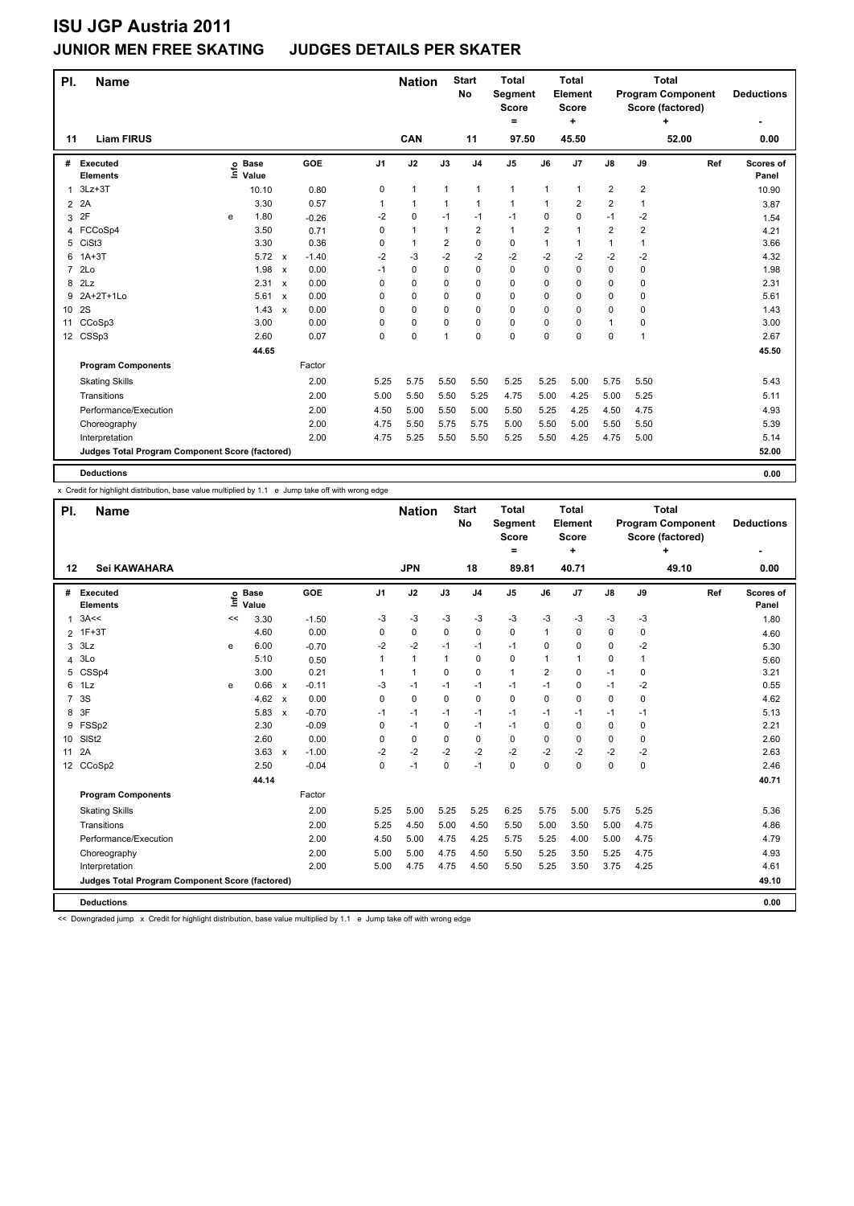### **JUNIOR MEN FREE SKATING JUDGES DETAILS PER SKATER**

| PI.            | <b>Name</b>                                     |      |                      |                           |         |                | <b>Nation</b> |                | <b>Start</b><br>No | <b>Total</b><br>Segment<br>Score<br>= |                | <b>Total</b><br><b>Element</b><br>Score<br>٠ |                         |                         | <b>Total</b><br><b>Program Component</b><br>Score (factored)<br>٠ | <b>Deductions</b>  |
|----------------|-------------------------------------------------|------|----------------------|---------------------------|---------|----------------|---------------|----------------|--------------------|---------------------------------------|----------------|----------------------------------------------|-------------------------|-------------------------|-------------------------------------------------------------------|--------------------|
| 11             | <b>Liam FIRUS</b>                               |      |                      |                           |         |                | CAN           |                | 11                 | 97.50                                 |                | 45.50                                        |                         |                         | 52.00                                                             | 0.00               |
| #              | Executed<br><b>Elements</b>                     | lnfo | <b>Base</b><br>Value |                           | GOE     | J <sub>1</sub> | J2            | J3             | J <sub>4</sub>     | J <sub>5</sub>                        | J6             | J <sub>7</sub>                               | $\mathsf{J}8$           | J9                      | Ref                                                               | Scores of<br>Panel |
| 1              | $3Lz + 3T$                                      |      | 10.10                |                           | 0.80    | 0              | $\mathbf{1}$  | 1              | $\mathbf{1}$       | $\mathbf{1}$                          | 1              | 1                                            | $\overline{\mathbf{c}}$ | $\overline{\mathbf{c}}$ |                                                                   | 10.90              |
| $\overline{2}$ | 2A                                              |      | 3.30                 |                           | 0.57    | 1              | $\mathbf{1}$  | 1              | $\mathbf{1}$       | $\mathbf{1}$                          |                | 2                                            | $\overline{\mathbf{c}}$ | 1                       |                                                                   | 3.87               |
| 3              | 2F                                              | e    | 1.80                 |                           | $-0.26$ | $-2$           | $\mathbf 0$   | $-1$           | $-1$               | $-1$                                  | 0              | 0                                            | $-1$                    | $-2$                    |                                                                   | 1.54               |
| 4              | FCCoSp4                                         |      | 3.50                 |                           | 0.71    | 0              | $\mathbf{1}$  | $\mathbf{1}$   | $\overline{2}$     | $\mathbf{1}$                          | $\overline{2}$ | 1                                            | $\overline{2}$          | $\overline{\mathbf{c}}$ |                                                                   | 4.21               |
| 5              | CiSt <sub>3</sub>                               |      | 3.30                 |                           | 0.36    | 0              | $\mathbf{1}$  | $\overline{2}$ | $\mathbf 0$        | 0                                     | 1              | 1                                            | 1                       | 1                       |                                                                   | 3.66               |
| 6              | $1A+3T$                                         |      | 5.72                 | $\boldsymbol{\mathsf{x}}$ | $-1.40$ | $-2$           | -3            | $-2$           | $-2$               | $-2$                                  | $-2$           | $-2$                                         | -2                      | $-2$                    |                                                                   | 4.32               |
| $\overline{7}$ | 2 <sub>LO</sub>                                 |      | 1.98                 | $\boldsymbol{\mathsf{x}}$ | 0.00    | $-1$           | 0             | $\Omega$       | 0                  | $\Omega$                              | $\Omega$       | 0                                            | 0                       | 0                       |                                                                   | 1.98               |
| 8              | 2Lz                                             |      | 2.31                 | $\mathsf{x}$              | 0.00    | 0              | 0             | 0              | $\mathbf 0$        | 0                                     | $\Omega$       | 0                                            | 0                       | 0                       |                                                                   | 2.31               |
| 9              | 2A+2T+1Lo                                       |      | 5.61                 | $\boldsymbol{\mathsf{x}}$ | 0.00    | 0              | 0             | 0              | 0                  | 0                                     | $\Omega$       | 0                                            | 0                       | 0                       |                                                                   | 5.61               |
| 10             | 2S                                              |      | 1.43                 | $\mathsf{x}$              | 0.00    | 0              | 0             | 0              | 0                  | 0                                     | 0              | 0                                            | 0                       | 0                       |                                                                   | 1.43               |
| 11             | CCoSp3                                          |      | 3.00                 |                           | 0.00    | 0              | 0             | 0              | 0                  | 0                                     | $\Omega$       | 0                                            | 1                       | 0                       |                                                                   | 3.00               |
|                | 12 CSSp3                                        |      | 2.60                 |                           | 0.07    | 0              | $\mathbf 0$   | 1              | $\mathbf 0$        | 0                                     | $\Omega$       | 0                                            | 0                       | 1                       |                                                                   | 2.67               |
|                |                                                 |      | 44.65                |                           |         |                |               |                |                    |                                       |                |                                              |                         |                         |                                                                   | 45.50              |
|                | <b>Program Components</b>                       |      |                      |                           | Factor  |                |               |                |                    |                                       |                |                                              |                         |                         |                                                                   |                    |
|                | <b>Skating Skills</b>                           |      |                      |                           | 2.00    | 5.25           | 5.75          | 5.50           | 5.50               | 5.25                                  | 5.25           | 5.00                                         | 5.75                    | 5.50                    |                                                                   | 5.43               |
|                | Transitions                                     |      |                      |                           | 2.00    | 5.00           | 5.50          | 5.50           | 5.25               | 4.75                                  | 5.00           | 4.25                                         | 5.00                    | 5.25                    |                                                                   | 5.11               |
|                | Performance/Execution                           |      |                      |                           | 2.00    | 4.50           | 5.00          | 5.50           | 5.00               | 5.50                                  | 5.25           | 4.25                                         | 4.50                    | 4.75                    |                                                                   | 4.93               |
|                | Choreography                                    |      |                      |                           | 2.00    | 4.75           | 5.50          | 5.75           | 5.75               | 5.00                                  | 5.50           | 5.00                                         | 5.50                    | 5.50                    |                                                                   | 5.39               |
|                | Interpretation                                  |      |                      |                           | 2.00    | 4.75           | 5.25          | 5.50           | 5.50               | 5.25                                  | 5.50           | 4.25                                         | 4.75                    | 5.00                    |                                                                   | 5.14               |
|                | Judges Total Program Component Score (factored) |      |                      |                           |         |                |               |                |                    |                                       |                |                                              |                         |                         |                                                                   | 52.00              |
|                | <b>Deductions</b>                               |      |                      |                           |         |                |               |                |                    |                                       |                |                                              |                         |                         |                                                                   | 0.00               |

x Credit for highlight distribution, base value multiplied by 1.1 e Jump take off with wrong edge

| PI.            | <b>Name</b>                                     |    |                            |                           |         |                | <b>Nation</b> |      | <b>Start</b><br>No | <b>Total</b><br><b>Segment</b><br><b>Score</b><br>۰ |                | <b>Total</b><br>Element<br><b>Score</b><br>÷ |      |              | <b>Total</b><br><b>Program Component</b><br>Score (factored)<br>٠ | <b>Deductions</b>  |
|----------------|-------------------------------------------------|----|----------------------------|---------------------------|---------|----------------|---------------|------|--------------------|-----------------------------------------------------|----------------|----------------------------------------------|------|--------------|-------------------------------------------------------------------|--------------------|
| 12             | Sei KAWAHARA                                    |    |                            |                           |         |                | <b>JPN</b>    |      | 18                 | 89.81                                               |                | 40.71                                        |      |              | 49.10                                                             | 0.00               |
| #              | Executed<br><b>Elements</b>                     |    | e Base<br>≡ Value<br>Value | <b>GOE</b>                |         | J <sub>1</sub> | J2            | J3   | J <sub>4</sub>     | J <sub>5</sub>                                      | J6             | J7                                           | J8   | J9           | Ref                                                               | Scores of<br>Panel |
| 1              | 3A<<                                            | << | 3.30                       |                           | $-1.50$ | -3             | $-3$          | $-3$ | $-3$               | $-3$                                                | $-3$           | $-3$                                         | $-3$ | $-3$         |                                                                   | 1.80               |
| $\overline{2}$ | $1F+3T$                                         |    | 4.60                       |                           | 0.00    | 0              | 0             | 0    | 0                  | 0                                                   | 1              | 0                                            | 0    | 0            |                                                                   | 4.60               |
| 3              | 3Lz                                             | e  | 6.00                       |                           | $-0.70$ | $-2$           | $-2$          | $-1$ | $-1$               | $-1$                                                | 0              | 0                                            | 0    | $-2$         |                                                                   | 5.30               |
| 4              | 3Lo                                             |    | 5.10                       |                           | 0.50    | 1              | $\mathbf{1}$  | 1    | $\Omega$           | 0                                                   | 1              | $\mathbf{1}$                                 | 0    | $\mathbf{1}$ |                                                                   | 5.60               |
| 5              | CSSp4                                           |    | 3.00                       |                           | 0.21    | 1              | $\mathbf{1}$  | 0    | $\mathbf 0$        | $\mathbf{1}$                                        | $\overline{2}$ | 0                                            | $-1$ | 0            |                                                                   | 3.21               |
| 6              | 1Lz                                             | e  | 0.66                       | $\pmb{\chi}$              | $-0.11$ | $-3$           | $-1$          | $-1$ | $-1$               | $-1$                                                | $-1$           | 0                                            | $-1$ | $-2$         |                                                                   | 0.55               |
| $\overline{7}$ | 3S                                              |    | 4.62                       | $\boldsymbol{\mathsf{x}}$ | 0.00    | 0              | 0             | 0    | 0                  | 0                                                   | $\Omega$       | 0                                            | 0    | 0            |                                                                   | 4.62               |
| 8              | 3F                                              |    | 5.83                       | $\boldsymbol{\mathsf{x}}$ | $-0.70$ | $-1$           | $-1$          | $-1$ | $-1$               | $-1$                                                | $-1$           | $-1$                                         | $-1$ | $-1$         |                                                                   | 5.13               |
| 9              | FSSp2                                           |    | 2.30                       |                           | $-0.09$ | 0              | $-1$          | 0    | $-1$               | $-1$                                                | 0              | 0                                            | 0    | 0            |                                                                   | 2.21               |
| 10             | SISt <sub>2</sub>                               |    | 2.60                       |                           | 0.00    | 0              | 0             | 0    | $\Omega$           | $\Omega$                                            | 0              | 0                                            | 0    | $\Omega$     |                                                                   | 2.60               |
| 11             | 2A                                              |    | 3.63                       | $\boldsymbol{\mathsf{x}}$ | $-1.00$ | $-2$           | $-2$          | $-2$ | $-2$               | $-2$                                                | $-2$           | $-2$                                         | $-2$ | $-2$         |                                                                   | 2.63               |
|                | 12 CCoSp2                                       |    | 2.50                       |                           | $-0.04$ | $\Omega$       | $-1$          | 0    | $-1$               | 0                                                   | 0              | 0                                            | 0    | 0            |                                                                   | 2.46               |
|                |                                                 |    | 44.14                      |                           |         |                |               |      |                    |                                                     |                |                                              |      |              |                                                                   | 40.71              |
|                | <b>Program Components</b>                       |    |                            | Factor                    |         |                |               |      |                    |                                                     |                |                                              |      |              |                                                                   |                    |
|                | <b>Skating Skills</b>                           |    |                            |                           | 2.00    | 5.25           | 5.00          | 5.25 | 5.25               | 6.25                                                | 5.75           | 5.00                                         | 5.75 | 5.25         |                                                                   | 5.36               |
|                | Transitions                                     |    |                            |                           | 2.00    | 5.25           | 4.50          | 5.00 | 4.50               | 5.50                                                | 5.00           | 3.50                                         | 5.00 | 4.75         |                                                                   | 4.86               |
|                | Performance/Execution                           |    |                            |                           | 2.00    | 4.50           | 5.00          | 4.75 | 4.25               | 5.75                                                | 5.25           | 4.00                                         | 5.00 | 4.75         |                                                                   | 4.79               |
|                | Choreography                                    |    |                            |                           | 2.00    | 5.00           | 5.00          | 4.75 | 4.50               | 5.50                                                | 5.25           | 3.50                                         | 5.25 | 4.75         |                                                                   | 4.93               |
|                | Interpretation                                  |    |                            |                           | 2.00    | 5.00           | 4.75          | 4.75 | 4.50               | 5.50                                                | 5.25           | 3.50                                         | 3.75 | 4.25         |                                                                   | 4.61               |
|                | Judges Total Program Component Score (factored) |    |                            |                           |         |                |               |      |                    |                                                     |                |                                              |      |              |                                                                   | 49.10              |
|                | <b>Deductions</b>                               |    |                            |                           |         |                |               |      |                    |                                                     |                |                                              |      |              |                                                                   | 0.00               |

<< Downgraded jump x Credit for highlight distribution, base value multiplied by 1.1 e Jump take off with wrong edge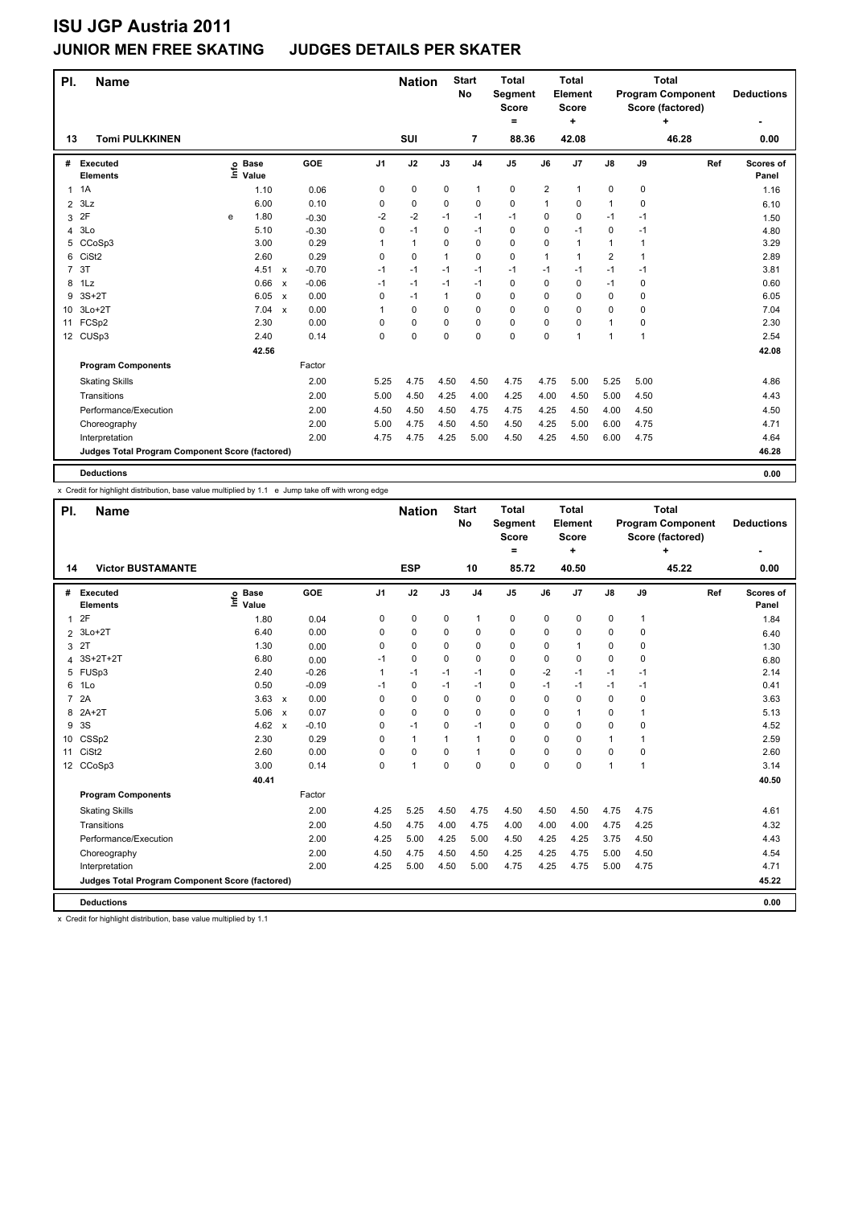### **JUNIOR MEN FREE SKATING JUDGES DETAILS PER SKATER**

| PI.            | <b>Name</b>                                     |      |                      |                           |         |                | <b>Nation</b> |              | <b>Start</b><br><b>No</b> | <b>Total</b><br>Segment<br><b>Score</b><br>= |                | <b>Total</b><br>Element<br>Score<br>٠ |                         |              | <b>Total</b><br><b>Program Component</b><br>Score (factored)<br>٠ | <b>Deductions</b>  |
|----------------|-------------------------------------------------|------|----------------------|---------------------------|---------|----------------|---------------|--------------|---------------------------|----------------------------------------------|----------------|---------------------------------------|-------------------------|--------------|-------------------------------------------------------------------|--------------------|
| 13             | <b>Tomi PULKKINEN</b>                           |      |                      |                           |         |                | SUI           |              | 7                         | 88.36                                        |                | 42.08                                 |                         |              | 46.28                                                             | 0.00               |
| #              | Executed<br><b>Elements</b>                     | Info | <b>Base</b><br>Value |                           | GOE     | J <sub>1</sub> | J2            | J3           | J <sub>4</sub>            | J <sub>5</sub>                               | J6             | J7                                    | $\mathsf{J}8$           | J9           | Ref                                                               | Scores of<br>Panel |
| 1              | 1A                                              |      | 1.10                 |                           | 0.06    | 0              | $\pmb{0}$     | $\mathbf 0$  | 1                         | 0                                            | $\overline{2}$ | 1                                     | 0                       | 0            |                                                                   | 1.16               |
| $\overline{2}$ | 3Lz                                             |      | 6.00                 |                           | 0.10    | 0              | 0             | 0            | 0                         | 0                                            | 1              | 0                                     | 1                       | 0            |                                                                   | 6.10               |
| 3              | 2F                                              | e    | 1.80                 |                           | $-0.30$ | $-2$           | $-2$          | $-1$         | $-1$                      | $-1$                                         | 0              | 0                                     | $-1$                    | -1           |                                                                   | 1.50               |
| 4              | 3Lo                                             |      | 5.10                 |                           | $-0.30$ | 0              | $-1$          | $\Omega$     | $-1$                      | 0                                            | 0              | $-1$                                  | 0                       | -1           |                                                                   | 4.80               |
| 5              | CCoSp3                                          |      | 3.00                 |                           | 0.29    |                | $\mathbf{1}$  | $\Omega$     | $\mathbf 0$               | 0                                            | 0              | 1                                     | 1                       | 1            |                                                                   | 3.29               |
| 6              | CiSt <sub>2</sub>                               |      | 2.60                 |                           | 0.29    | 0              | $\mathbf 0$   | $\mathbf{1}$ | $\mathbf 0$               | 0                                            | 1              | 1                                     | $\overline{\mathbf{c}}$ | $\mathbf{1}$ |                                                                   | 2.89               |
| $\overline{7}$ | 3T                                              |      | 4.51                 | $\mathsf{x}$              | $-0.70$ | $-1$           | $-1$          | $-1$         | $-1$                      | $-1$                                         | $-1$           | $-1$                                  | $-1$                    | $-1$         |                                                                   | 3.81               |
| 8              | 1Lz                                             |      | 0.66                 | $\mathsf{x}$              | $-0.06$ | $-1$           | $-1$          | $-1$         | $-1$                      | 0                                            | 0              | 0                                     | $-1$                    | 0            |                                                                   | 0.60               |
| 9              | $3S+2T$                                         |      | 6.05                 | $\boldsymbol{\mathsf{x}}$ | 0.00    | 0              | $-1$          | $\mathbf{1}$ | 0                         | 0                                            | 0              | 0                                     | 0                       | 0            |                                                                   | 6.05               |
| 10             | $3Lo+2T$                                        |      | 7.04                 | $\boldsymbol{\mathsf{x}}$ | 0.00    |                | $\mathbf 0$   | 0            | 0                         | 0                                            | 0              | 0                                     | 0                       | 0            |                                                                   | 7.04               |
| 11             | FCSp2                                           |      | 2.30                 |                           | 0.00    | 0              | $\mathbf 0$   | $\Omega$     | 0                         | 0                                            | 0              | 0                                     | $\mathbf{1}$            | 0            |                                                                   | 2.30               |
|                | 12 CUSp3                                        |      | 2.40                 |                           | 0.14    | 0              | $\mathbf 0$   | $\mathbf 0$  | 0                         | $\mathbf 0$                                  | 0              | 1                                     | 1                       | 1            |                                                                   | 2.54               |
|                |                                                 |      | 42.56                |                           |         |                |               |              |                           |                                              |                |                                       |                         |              |                                                                   | 42.08              |
|                | <b>Program Components</b>                       |      |                      |                           | Factor  |                |               |              |                           |                                              |                |                                       |                         |              |                                                                   |                    |
|                | <b>Skating Skills</b>                           |      |                      |                           | 2.00    | 5.25           | 4.75          | 4.50         | 4.50                      | 4.75                                         | 4.75           | 5.00                                  | 5.25                    | 5.00         |                                                                   | 4.86               |
|                | Transitions                                     |      |                      |                           | 2.00    | 5.00           | 4.50          | 4.25         | 4.00                      | 4.25                                         | 4.00           | 4.50                                  | 5.00                    | 4.50         |                                                                   | 4.43               |
|                | Performance/Execution                           |      |                      |                           | 2.00    | 4.50           | 4.50          | 4.50         | 4.75                      | 4.75                                         | 4.25           | 4.50                                  | 4.00                    | 4.50         |                                                                   | 4.50               |
|                | Choreography                                    |      |                      |                           | 2.00    | 5.00           | 4.75          | 4.50         | 4.50                      | 4.50                                         | 4.25           | 5.00                                  | 6.00                    | 4.75         |                                                                   | 4.71               |
|                | Interpretation                                  |      |                      |                           | 2.00    | 4.75           | 4.75          | 4.25         | 5.00                      | 4.50                                         | 4.25           | 4.50                                  | 6.00                    | 4.75         |                                                                   | 4.64               |
|                | Judges Total Program Component Score (factored) |      |                      |                           |         |                |               |              |                           |                                              |                |                                       |                         |              |                                                                   | 46.28              |
|                | <b>Deductions</b>                               |      |                      |                           |         |                |               |              |                           |                                              |                |                                       |                         |              |                                                                   | 0.00               |

x Credit for highlight distribution, base value multiplied by 1.1 e Jump take off with wrong edge

| PI.             | <b>Name</b>                                     |                              |                           |                  |      | <b>Nation</b>  |             | <b>Start</b><br>No | <b>Total</b><br><b>Segment</b><br><b>Score</b><br>$=$ |             | Total<br>Element<br><b>Score</b><br>÷ |               |              | <b>Total</b><br><b>Program Component</b><br>Score (factored)<br>٠ | <b>Deductions</b>  |
|-----------------|-------------------------------------------------|------------------------------|---------------------------|------------------|------|----------------|-------------|--------------------|-------------------------------------------------------|-------------|---------------------------------------|---------------|--------------|-------------------------------------------------------------------|--------------------|
| 14              | <b>Victor BUSTAMANTE</b>                        |                              |                           |                  |      | <b>ESP</b>     |             | 10                 | 85.72                                                 |             | 40.50                                 |               |              | 45.22                                                             | 0.00               |
| #               | Executed<br><b>Elements</b>                     | <b>Base</b><br>١nf٥<br>Value | GOE                       | J1               |      | J2             | J3          | J <sub>4</sub>     | J <sub>5</sub>                                        | J6          | J7                                    | $\mathsf{J}8$ | J9           | Ref                                                               | Scores of<br>Panel |
| $\mathbf{1}$    | 2F                                              | 1.80                         |                           | 0<br>0.04        |      | 0              | $\mathbf 0$ | $\mathbf{1}$       | 0                                                     | $\mathbf 0$ | $\mathbf 0$                           | 0             | $\mathbf{1}$ |                                                                   | 1.84               |
| 2               | $3Lo+2T$                                        | 6.40                         |                           | 0.00<br>$\Omega$ |      | 0              | $\Omega$    | 0                  | 0                                                     | 0           | 0                                     | 0             | 0            |                                                                   | 6.40               |
| 3               | 2T                                              | 1.30                         |                           | 0<br>0.00        |      | 0              | 0           | 0                  | 0                                                     | 0           | $\overline{1}$                        | 0             | 0            |                                                                   | 1.30               |
| $\overline{4}$  | 3S+2T+2T                                        | 6.80                         |                           | $-1$<br>0.00     |      | 0              | 0           | $\Omega$           | 0                                                     | 0           | $\Omega$                              | 0             | 0            |                                                                   | 6.80               |
| 5               | FUSp3                                           | 2.40                         |                           | $-0.26$<br>1     |      | $-1$           | $-1$        | $-1$               | $\Omega$                                              | $-2$        | $-1$                                  | $-1$          | -1           |                                                                   | 2.14               |
| 6               | 1Lo                                             | 0.50                         |                           | $-0.09$<br>$-1$  |      | 0              | $-1$        | $-1$               | 0                                                     | $-1$        | $-1$                                  | $-1$          | $-1$         |                                                                   | 0.41               |
| $\overline{7}$  | 2A                                              | 3.63                         | $\mathsf{x}$              | 0.00<br>0        |      | $\mathbf 0$    | 0           | 0                  | 0                                                     | $\Omega$    | $\mathbf 0$                           | 0             | 0            |                                                                   | 3.63               |
| 8               | $2A+2T$                                         | 5.06                         | $\boldsymbol{\mathsf{x}}$ | 0.07<br>$\Omega$ |      | 0              | $\Omega$    | 0                  | 0                                                     | 0           | $\overline{1}$                        | 0             | 1            |                                                                   | 5.13               |
| 9               | 3S                                              | 4.62                         | $\mathsf{x}$              | $-0.10$<br>0     |      | $-1$           | 0           | $-1$               | $\Omega$                                              | 0           | $\Omega$                              | $\Omega$      | $\Omega$     |                                                                   | 4.52               |
| 10              | CSSp2                                           | 2.30                         |                           | 0.29<br>$\Omega$ |      | $\mathbf{1}$   |             | $\mathbf{1}$       | $\Omega$                                              | 0           | $\mathbf 0$                           | 1             | 1            |                                                                   | 2.59               |
| 11              | CiSt <sub>2</sub>                               | 2.60                         |                           | 0.00<br>$\Omega$ |      | $\Omega$       | 0           | $\mathbf{1}$       | 0                                                     | 0           | $\mathbf 0$                           | 0             | $\Omega$     |                                                                   | 2.60               |
| 12 <sup>2</sup> | CCoSp3                                          | 3.00                         |                           | 0.14<br>$\Omega$ |      | $\overline{1}$ | $\Omega$    | $\Omega$           | 0                                                     | 0           | 0                                     | 1             | 1            |                                                                   | 3.14               |
|                 |                                                 | 40.41                        |                           |                  |      |                |             |                    |                                                       |             |                                       |               |              |                                                                   | 40.50              |
|                 | <b>Program Components</b>                       |                              |                           | Factor           |      |                |             |                    |                                                       |             |                                       |               |              |                                                                   |                    |
|                 | <b>Skating Skills</b>                           |                              |                           | 2.00             | 4.25 | 5.25           | 4.50        | 4.75               | 4.50                                                  | 4.50        | 4.50                                  | 4.75          | 4.75         |                                                                   | 4.61               |
|                 | Transitions                                     |                              |                           | 2.00             | 4.50 | 4.75           | 4.00        | 4.75               | 4.00                                                  | 4.00        | 4.00                                  | 4.75          | 4.25         |                                                                   | 4.32               |
|                 | Performance/Execution                           |                              |                           | 2.00             | 4.25 | 5.00           | 4.25        | 5.00               | 4.50                                                  | 4.25        | 4.25                                  | 3.75          | 4.50         |                                                                   | 4.43               |
|                 | Choreography                                    |                              |                           | 2.00             | 4.50 | 4.75           | 4.50        | 4.50               | 4.25                                                  | 4.25        | 4.75                                  | 5.00          | 4.50         |                                                                   | 4.54               |
|                 | Interpretation                                  |                              |                           | 2.00             | 4.25 | 5.00           | 4.50        | 5.00               | 4.75                                                  | 4.25        | 4.75                                  | 5.00          | 4.75         |                                                                   | 4.71               |
|                 | Judges Total Program Component Score (factored) |                              |                           |                  |      |                |             |                    |                                                       |             |                                       |               |              |                                                                   | 45.22              |
|                 | <b>Deductions</b>                               |                              |                           |                  |      |                |             |                    |                                                       |             |                                       |               |              |                                                                   | 0.00               |

x Credit for highlight distribution, base value multiplied by 1.1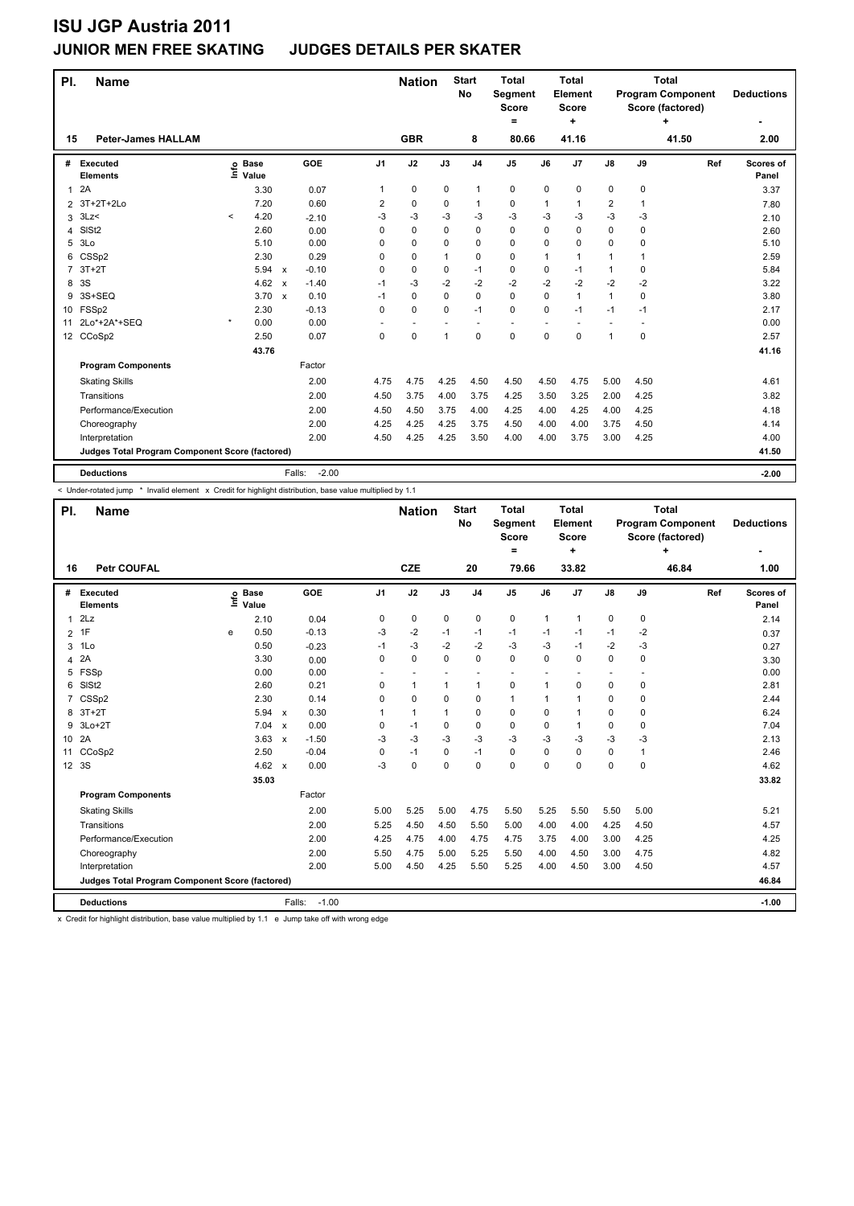### **JUNIOR MEN FREE SKATING JUDGES DETAILS PER SKATER**

| PI. | <b>Name</b>                                     |          |                            |                                      |                | <b>Nation</b> |              | <b>Start</b><br><b>No</b> | <b>Total</b><br>Segment<br><b>Score</b><br>۰ |      | <b>Total</b><br>Element<br><b>Score</b><br>÷ |               |             | <b>Total</b><br><b>Program Component</b><br>Score (factored)<br>٠ | <b>Deductions</b>  |
|-----|-------------------------------------------------|----------|----------------------------|--------------------------------------|----------------|---------------|--------------|---------------------------|----------------------------------------------|------|----------------------------------------------|---------------|-------------|-------------------------------------------------------------------|--------------------|
| 15  | <b>Peter-James HALLAM</b>                       |          |                            |                                      |                | <b>GBR</b>    |              | 8                         | 80.66                                        |      | 41.16                                        |               |             | 41.50                                                             | 2.00               |
| #   | <b>Executed</b><br><b>Elements</b>              |          | e Base<br>⊆ Value<br>Value | <b>GOE</b>                           | J <sub>1</sub> | J2            | J3           | J <sub>4</sub>            | J5                                           | J6   | J <sub>7</sub>                               | $\mathsf{J}8$ | J9          | Ref                                                               | Scores of<br>Panel |
| 1   | 2A                                              |          | 3.30                       | 0.07                                 | 1              | 0             | 0            | 1                         | 0                                            | 0    | 0                                            | 0             | 0           |                                                                   | 3.37               |
|     | 2 3T+2T+2Lo                                     |          | 7.20                       | 0.60                                 | 2              | 0             | 0            | 1                         | 0                                            | 1    | 1                                            | 2             | 1           |                                                                   | 7.80               |
| 3   | 3Lz                                             | $\hat{}$ | 4.20                       | $-2.10$                              | -3             | -3            | -3           | $-3$                      | $-3$                                         | $-3$ | $-3$                                         | $-3$          | $-3$        |                                                                   | 2.10               |
| 4   | SISt <sub>2</sub>                               |          | 2.60                       | 0.00                                 | 0              | 0             | 0            | $\mathbf 0$               | 0                                            | 0    | 0                                            | 0             | 0           |                                                                   | 2.60               |
| 5   | 3 <sub>LO</sub>                                 |          | 5.10                       | 0.00                                 | 0              | 0             | 0            | $\mathbf 0$               | 0                                            | 0    | 0                                            | 0             | $\mathbf 0$ |                                                                   | 5.10               |
| 6   | CSSp2                                           |          | 2.30                       | 0.29                                 | 0              | $\mathbf 0$   | $\mathbf{1}$ | $\mathbf 0$               | 0                                            | 1    | $\mathbf{1}$                                 | 1             | 1           |                                                                   | 2.59               |
| 7   | $3T+2T$                                         |          | 5.94                       | $-0.10$<br>$\boldsymbol{\mathsf{x}}$ | $\Omega$       | 0             | 0            | $-1$                      | 0                                            | 0    | $-1$                                         | $\mathbf{1}$  | 0           |                                                                   | 5.84               |
| 8   | 3S                                              |          | 4.62                       | $-1.40$<br>$\boldsymbol{\mathsf{x}}$ | $-1$           | -3            | $-2$         | $-2$                      | $-2$                                         | $-2$ | $-2$                                         | $-2$          | $-2$        |                                                                   | 3.22               |
| 9   | 3S+SEQ                                          |          | 3.70                       | 0.10<br>$\boldsymbol{\mathsf{x}}$    | $-1$           | 0             | 0            | $\mathbf 0$               | 0                                            | 0    | $\mathbf{1}$                                 | $\mathbf{1}$  | 0           |                                                                   | 3.80               |
| 10  | FSSp2                                           |          | 2.30                       | $-0.13$                              | 0              | 0             | $\Omega$     | $-1$                      | 0                                            | 0    | $-1$                                         | $-1$          | $-1$        |                                                                   | 2.17               |
| 11  | 2Lo*+2A*+SEQ                                    | $\star$  | 0.00                       | 0.00                                 |                | ÷             |              | $\sim$                    |                                              |      |                                              |               |             |                                                                   | 0.00               |
|     | 12 CCoSp2                                       |          | 2.50                       | 0.07                                 | $\Omega$       | 0             | $\mathbf{1}$ | $\mathbf 0$               | 0                                            | 0    | 0                                            | 1             | 0           |                                                                   | 2.57               |
|     |                                                 |          | 43.76                      |                                      |                |               |              |                           |                                              |      |                                              |               |             |                                                                   | 41.16              |
|     | <b>Program Components</b>                       |          |                            | Factor                               |                |               |              |                           |                                              |      |                                              |               |             |                                                                   |                    |
|     | <b>Skating Skills</b>                           |          |                            | 2.00                                 | 4.75           | 4.75          | 4.25         | 4.50                      | 4.50                                         | 4.50 | 4.75                                         | 5.00          | 4.50        |                                                                   | 4.61               |
|     | Transitions                                     |          |                            | 2.00                                 | 4.50           | 3.75          | 4.00         | 3.75                      | 4.25                                         | 3.50 | 3.25                                         | 2.00          | 4.25        |                                                                   | 3.82               |
|     | Performance/Execution                           |          |                            | 2.00                                 | 4.50           | 4.50          | 3.75         | 4.00                      | 4.25                                         | 4.00 | 4.25                                         | 4.00          | 4.25        |                                                                   | 4.18               |
|     | Choreography                                    |          |                            | 2.00                                 | 4.25           | 4.25          | 4.25         | 3.75                      | 4.50                                         | 4.00 | 4.00                                         | 3.75          | 4.50        |                                                                   | 4.14               |
|     | Interpretation                                  |          |                            | 2.00                                 | 4.50           | 4.25          | 4.25         | 3.50                      | 4.00                                         | 4.00 | 3.75                                         | 3.00          | 4.25        |                                                                   | 4.00               |
|     | Judges Total Program Component Score (factored) |          |                            |                                      |                |               |              |                           |                                              |      |                                              |               |             |                                                                   | 41.50              |
|     | <b>Deductions</b>                               |          |                            | $-2.00$<br>Falls:                    |                |               |              |                           |                                              |      |                                              |               |             |                                                                   | $-2.00$            |

< Under-rotated jump \* Invalid element x Credit for highlight distribution, base value multiplied by 1.1

| PI.             | <b>Name</b>                                     |                |                      |                           |                   |                | <b>Nation</b> |              | <b>Start</b><br><b>No</b> | <b>Total</b><br>Segment<br><b>Score</b><br>= |      | <b>Total</b><br>Element<br><b>Score</b><br>٠ |               |              | <b>Total</b><br><b>Program Component</b><br>Score (factored)<br>٠ | <b>Deductions</b>         |
|-----------------|-------------------------------------------------|----------------|----------------------|---------------------------|-------------------|----------------|---------------|--------------|---------------------------|----------------------------------------------|------|----------------------------------------------|---------------|--------------|-------------------------------------------------------------------|---------------------------|
| 16              | <b>Petr COUFAL</b>                              |                |                      |                           |                   |                | <b>CZE</b>    |              | 20                        | 79.66                                        |      | 33.82                                        |               |              | 46.84                                                             | 1.00                      |
| #               | <b>Executed</b><br><b>Elements</b>              | $\frac{6}{10}$ | <b>Base</b><br>Value |                           | GOE               | J <sub>1</sub> | J2            | J3           | J <sub>4</sub>            | J5                                           | J6   | J7                                           | $\mathsf{J}8$ | J9           | Ref                                                               | <b>Scores of</b><br>Panel |
| 1               | 2Lz                                             |                | 2.10                 |                           | 0.04              | 0              | $\pmb{0}$     | $\mathbf 0$  | $\pmb{0}$                 | $\mathbf 0$                                  | 1    | $\mathbf{1}$                                 | 0             | 0            |                                                                   | 2.14                      |
| 2               | 1F                                              | e              | 0.50                 |                           | $-0.13$           | $-3$           | $-2$          | $-1$         | $-1$                      | $-1$                                         | $-1$ | $-1$                                         | $-1$          | $-2$         |                                                                   | 0.37                      |
| 3               | 1Lo                                             |                | 0.50                 |                           | $-0.23$           | $-1$           | $-3$          | $-2$         | $-2$                      | $-3$                                         | $-3$ | $-1$                                         | $-2$          | $-3$         |                                                                   | 0.27                      |
| 4               | 2A                                              |                | 3.30                 |                           | 0.00              | 0              | $\mathbf 0$   | $\Omega$     | $\Omega$                  | $\mathbf 0$                                  | 0    | $\Omega$                                     | 0             | 0            |                                                                   | 3.30                      |
| 5               | FSSp                                            |                | 0.00                 |                           | 0.00              |                | ٠             |              | ٠                         |                                              |      |                                              |               |              |                                                                   | 0.00                      |
| 6               | SISt <sub>2</sub>                               |                | 2.60                 |                           | 0.21              | 0              | $\mathbf{1}$  | 1            | 1                         | $\mathbf 0$                                  | 1    | 0                                            | 0             | 0            |                                                                   | 2.81                      |
| 7               | CSSp2                                           |                | 2.30                 |                           | 0.14              | 0              | $\Omega$      | $\Omega$     | $\mathbf 0$               | $\mathbf{1}$                                 | 1    | 1                                            | 0             | 0            |                                                                   | 2.44                      |
| 8               | $3T+2T$                                         |                | 5.94                 | $\mathsf{x}$              | 0.30              |                | $\mathbf{1}$  | $\mathbf{1}$ | 0                         | 0                                            | 0    | 1                                            | 0             | 0            |                                                                   | 6.24                      |
| 9               | $3Lo+2T$                                        |                | 7.04                 | $\mathsf{x}$              | 0.00              | 0              | $-1$          | $\Omega$     | $\mathbf 0$               | $\mathbf 0$                                  | 0    | 1                                            | 0             | $\Omega$     |                                                                   | 7.04                      |
| 10 <sup>°</sup> | 2A                                              |                | 3.63                 | $\boldsymbol{\mathsf{x}}$ | $-1.50$           | $-3$           | $-3$          | $-3$         | $-3$                      | $-3$                                         | $-3$ | $-3$                                         | $-3$          | $-3$         |                                                                   | 2.13                      |
| 11              | CCoSp2                                          |                | 2.50                 |                           | $-0.04$           | 0              | $-1$          | $\mathbf 0$  | $-1$                      | $\mathbf 0$                                  | 0    | $\mathbf 0$                                  | 0             | $\mathbf{1}$ |                                                                   | 2.46                      |
| 12 3S           |                                                 |                | 4.62 $\times$        |                           | 0.00              | $-3$           | $\Omega$      | $\Omega$     | $\Omega$                  | $\Omega$                                     | 0    | 0                                            | $\Omega$      | $\Omega$     |                                                                   | 4.62                      |
|                 |                                                 |                | 35.03                |                           |                   |                |               |              |                           |                                              |      |                                              |               |              |                                                                   | 33.82                     |
|                 | <b>Program Components</b>                       |                |                      |                           | Factor            |                |               |              |                           |                                              |      |                                              |               |              |                                                                   |                           |
|                 | <b>Skating Skills</b>                           |                |                      |                           | 2.00              | 5.00           | 5.25          | 5.00         | 4.75                      | 5.50                                         | 5.25 | 5.50                                         | 5.50          | 5.00         |                                                                   | 5.21                      |
|                 | Transitions                                     |                |                      |                           | 2.00              | 5.25           | 4.50          | 4.50         | 5.50                      | 5.00                                         | 4.00 | 4.00                                         | 4.25          | 4.50         |                                                                   | 4.57                      |
|                 | Performance/Execution                           |                |                      |                           | 2.00              | 4.25           | 4.75          | 4.00         | 4.75                      | 4.75                                         | 3.75 | 4.00                                         | 3.00          | 4.25         |                                                                   | 4.25                      |
|                 | Choreography                                    |                |                      |                           | 2.00              | 5.50           | 4.75          | 5.00         | 5.25                      | 5.50                                         | 4.00 | 4.50                                         | 3.00          | 4.75         |                                                                   | 4.82                      |
|                 | Interpretation                                  |                |                      |                           | 2.00              | 5.00           | 4.50          | 4.25         | 5.50                      | 5.25                                         | 4.00 | 4.50                                         | 3.00          | 4.50         |                                                                   | 4.57                      |
|                 | Judges Total Program Component Score (factored) |                |                      |                           |                   |                |               |              |                           |                                              |      |                                              |               |              |                                                                   | 46.84                     |
|                 | <b>Deductions</b>                               |                |                      |                           | $-1.00$<br>Falls: |                |               |              |                           |                                              |      |                                              |               |              |                                                                   | $-1.00$                   |

x Credit for highlight distribution, base value multiplied by 1.1 e Jump take off with wrong edge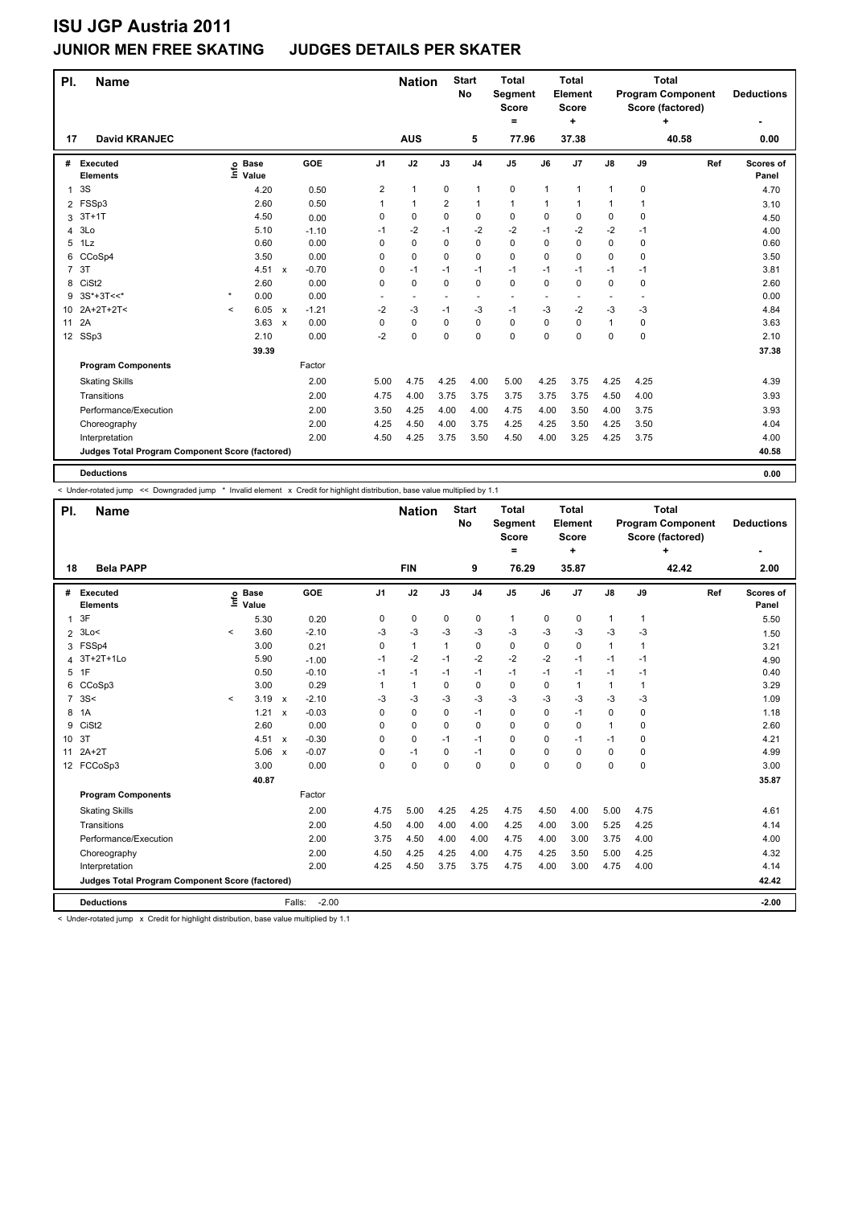### **JUNIOR MEN FREE SKATING JUDGES DETAILS PER SKATER**

| PI.             | <b>Name</b>                                     |          |                                  |              |         |                | <b>Nation</b>            |             | <b>Start</b><br><b>No</b> | <b>Total</b><br>Segment<br><b>Score</b><br>= |              | <b>Total</b><br>Element<br><b>Score</b><br>٠ |              |          | <b>Total</b><br><b>Program Component</b><br>Score (factored) | <b>Deductions</b>  |
|-----------------|-------------------------------------------------|----------|----------------------------------|--------------|---------|----------------|--------------------------|-------------|---------------------------|----------------------------------------------|--------------|----------------------------------------------|--------------|----------|--------------------------------------------------------------|--------------------|
| 17              | <b>David KRANJEC</b>                            |          |                                  |              |         |                | <b>AUS</b>               |             | 5                         | 77.96                                        |              | 37.38                                        |              |          | 40.58                                                        | 0.00               |
| #               | Executed<br><b>Elements</b>                     |          | <b>Base</b><br>e Base<br>⊆ Value |              | GOE     | J <sub>1</sub> | J2                       | J3          | J <sub>4</sub>            | J <sub>5</sub>                               | J6           | J <sub>7</sub>                               | J8           | J9       | Ref                                                          | Scores of<br>Panel |
| $\mathbf{1}$    | 3S                                              |          | 4.20                             |              | 0.50    | $\overline{2}$ | $\mathbf{1}$             | $\mathbf 0$ | $\mathbf{1}$              | 0                                            | $\mathbf{1}$ | $\mathbf{1}$                                 | $\mathbf{1}$ | 0        |                                                              | 4.70               |
|                 | 2 FSSp3                                         |          | 2.60                             |              | 0.50    | 1              | $\mathbf{1}$             | 2           | $\mathbf{1}$              | $\mathbf{1}$                                 | 1            | $\overline{1}$                               | $\mathbf{1}$ | 1        |                                                              | 3.10               |
| 3               | $3T+1T$                                         |          | 4.50                             |              | 0.00    | 0              | 0                        | 0           | $\mathbf 0$               | 0                                            | 0            | 0                                            | 0            | 0        |                                                              | 4.50               |
| 4               | 3Lo                                             |          | 5.10                             |              | $-1.10$ | $-1$           | $-2$                     | $-1$        | $-2$                      | $-2$                                         | $-1$         | $-2$                                         | $-2$         | $-1$     |                                                              | 4.00               |
| 5               | 1Lz                                             |          | 0.60                             |              | 0.00    | $\Omega$       | $\Omega$                 | 0           | $\Omega$                  | $\Omega$                                     | $\Omega$     | $\Omega$                                     | $\Omega$     | $\Omega$ |                                                              | 0.60               |
| 6               | CCoSp4                                          |          | 3.50                             |              | 0.00    | 0              | 0                        | 0           | $\mathbf 0$               | 0                                            | $\Omega$     | 0                                            | 0            | 0        |                                                              | 3.50               |
| $\overline{7}$  | 3T                                              |          | 4.51                             | $\mathsf{x}$ | $-0.70$ | 0              | $-1$                     | $-1$        | $-1$                      | $-1$                                         | $-1$         | $-1$                                         | $-1$         | -1       |                                                              | 3.81               |
| 8               | CiSt <sub>2</sub>                               |          | 2.60                             |              | 0.00    | $\Omega$       | 0                        | 0           | $\Omega$                  | $\Omega$                                     | $\Omega$     | $\Omega$                                     | 0            | 0        |                                                              | 2.60               |
| 9               | $3S*+3T<<$                                      | $\star$  | 0.00                             |              | 0.00    |                | $\overline{\phantom{a}}$ |             | $\overline{\phantom{a}}$  |                                              |              |                                              |              |          |                                                              | 0.00               |
| 10              | 2A+2T+2T<                                       | $\hat{}$ | 6.05                             | $\mathsf{x}$ | $-1.21$ | $-2$           | -3                       | $-1$        | $-3$                      | $-1$                                         | $-3$         | $-2$                                         | $-3$         | -3       |                                                              | 4.84               |
| 11              | 2A                                              |          | 3.63                             | $\mathsf{x}$ | 0.00    | 0              | 0                        | 0           | $\mathbf 0$               | 0                                            | 0            | $\mathbf 0$                                  | $\mathbf{1}$ | 0        |                                                              | 3.63               |
| 12 <sup>2</sup> | SSp3                                            |          | 2.10                             |              | 0.00    | $-2$           | 0                        | 0           | $\Omega$                  | $\Omega$                                     | 0            | $\Omega$                                     | $\Omega$     | $\Omega$ |                                                              | 2.10               |
|                 |                                                 |          | 39.39                            |              |         |                |                          |             |                           |                                              |              |                                              |              |          |                                                              | 37.38              |
|                 | <b>Program Components</b>                       |          |                                  |              | Factor  |                |                          |             |                           |                                              |              |                                              |              |          |                                                              |                    |
|                 | <b>Skating Skills</b>                           |          |                                  |              | 2.00    | 5.00           | 4.75                     | 4.25        | 4.00                      | 5.00                                         | 4.25         | 3.75                                         | 4.25         | 4.25     |                                                              | 4.39               |
|                 | Transitions                                     |          |                                  |              | 2.00    | 4.75           | 4.00                     | 3.75        | 3.75                      | 3.75                                         | 3.75         | 3.75                                         | 4.50         | 4.00     |                                                              | 3.93               |
|                 | Performance/Execution                           |          |                                  |              | 2.00    | 3.50           | 4.25                     | 4.00        | 4.00                      | 4.75                                         | 4.00         | 3.50                                         | 4.00         | 3.75     |                                                              | 3.93               |
|                 | Choreography                                    |          |                                  |              | 2.00    | 4.25           | 4.50                     | 4.00        | 3.75                      | 4.25                                         | 4.25         | 3.50                                         | 4.25         | 3.50     |                                                              | 4.04               |
|                 | Interpretation                                  |          |                                  |              | 2.00    | 4.50           | 4.25                     | 3.75        | 3.50                      | 4.50                                         | 4.00         | 3.25                                         | 4.25         | 3.75     |                                                              | 4.00               |
|                 | Judges Total Program Component Score (factored) |          |                                  |              |         |                |                          |             |                           |                                              |              |                                              |              |          |                                                              | 40.58              |
|                 | <b>Deductions</b>                               |          |                                  |              |         |                |                          |             |                           |                                              |              |                                              |              |          |                                                              | 0.00               |

< Under-rotated jump << Downgraded jump \* Invalid element x Credit for highlight distribution, base value multiplied by 1.1

| PI.             | <b>Name</b>                                     |         |                      |                           |                   |                | <b>Nation</b> |              | <b>Start</b><br>No | <b>Total</b><br><b>Segment</b><br><b>Score</b><br>= |          | <b>Total</b><br>Element<br><b>Score</b><br>÷ |              |          | <b>Total</b><br><b>Program Component</b><br>Score (factored)<br>÷ | <b>Deductions</b>  |
|-----------------|-------------------------------------------------|---------|----------------------|---------------------------|-------------------|----------------|---------------|--------------|--------------------|-----------------------------------------------------|----------|----------------------------------------------|--------------|----------|-------------------------------------------------------------------|--------------------|
| 18              | <b>Bela PAPP</b>                                |         |                      |                           |                   |                | <b>FIN</b>    |              | 9                  | 76.29                                               |          | 35.87                                        |              |          | 42.42                                                             | 2.00               |
| #               | Executed<br><b>Elements</b>                     | lnfo    | <b>Base</b><br>Value |                           | <b>GOE</b>        | J <sub>1</sub> | J2            | J3           | J <sub>4</sub>     | J <sub>5</sub>                                      | J6       | J7                                           | J8           | J9       | Ref                                                               | Scores of<br>Panel |
| $\mathbf{1}$    | 3F                                              |         | 5.30                 |                           | 0.20              | 0              | 0             | 0            | 0                  | $\mathbf{1}$                                        | 0        | 0                                            | $\mathbf{1}$ | 1        |                                                                   | 5.50               |
| $\overline{2}$  | 3Lo<                                            | $\prec$ | 3.60                 |                           | $-2.10$           | -3             | $-3$          | -3           | $-3$               | $-3$                                                | $-3$     | $-3$                                         | $-3$         | $-3$     |                                                                   | 1.50               |
| 3               | FSSp4                                           |         | 3.00                 |                           | 0.21              | $\Omega$       | $\mathbf{1}$  | $\mathbf{1}$ | $\mathbf 0$        | $\mathbf 0$                                         | $\Omega$ | $\Omega$                                     | $\mathbf{1}$ | 1        |                                                                   | 3.21               |
| 4               | 3T+2T+1Lo                                       |         | 5.90                 |                           | $-1.00$           | $-1$           | $-2$          | $-1$         | $-2$               | $-2$                                                | $-2$     | $-1$                                         | $-1$         | $-1$     |                                                                   | 4.90               |
| 5               | 1F                                              |         | 0.50                 |                           | $-0.10$           | $-1$           | $-1$          | $-1$         | $-1$               | $-1$                                                | $-1$     | $-1$                                         | $-1$         | $-1$     |                                                                   | 0.40               |
| 6               | CCoSp3                                          |         | 3.00                 |                           | 0.29              | 1              | $\mathbf{1}$  | $\Omega$     | $\mathbf 0$        | $\mathbf 0$                                         | 0        | 1                                            | $\mathbf{1}$ | 1        |                                                                   | 3.29               |
| $\overline{7}$  | 3S<                                             | $\prec$ | 3.19                 | $\mathsf{x}$              | $-2.10$           | -3             | -3            | -3           | -3                 | $-3$                                                | -3       | $-3$                                         | -3           | -3       |                                                                   | 1.09               |
| 8               | 1A                                              |         | 1.21                 | $\boldsymbol{\mathsf{x}}$ | $-0.03$           | 0              | $\pmb{0}$     | 0            | $-1$               | 0                                                   | 0        | $-1$                                         | 0            | 0        |                                                                   | 1.18               |
| 9               | CiSt <sub>2</sub>                               |         | 2.60                 |                           | 0.00              | $\Omega$       | 0             | 0            | $\mathbf 0$        | $\mathbf 0$                                         | $\Omega$ | 0                                            | $\mathbf{1}$ | 0        |                                                                   | 2.60               |
| 10 <sup>°</sup> | 3T                                              |         | 4.51                 | $\mathsf{x}$              | $-0.30$           | $\Omega$       | $\mathbf 0$   | $-1$         | $-1$               | $\Omega$                                            | $\Omega$ | $-1$                                         | $-1$         | $\Omega$ |                                                                   | 4.21               |
| 11              | $2A+2T$                                         |         | 5.06                 | $\mathsf{x}$              | $-0.07$           | 0              | $-1$          | 0            | $-1$               | 0                                                   | 0        | 0                                            | 0            | 0        |                                                                   | 4.99               |
|                 | 12 FCCoSp3                                      |         | 3.00                 |                           | 0.00              | $\Omega$       | $\mathbf 0$   | $\Omega$     | $\Omega$           | $\Omega$                                            | $\Omega$ | $\Omega$                                     | 0            | 0        |                                                                   | 3.00               |
|                 |                                                 |         | 40.87                |                           |                   |                |               |              |                    |                                                     |          |                                              |              |          |                                                                   | 35.87              |
|                 | <b>Program Components</b>                       |         |                      |                           | Factor            |                |               |              |                    |                                                     |          |                                              |              |          |                                                                   |                    |
|                 | <b>Skating Skills</b>                           |         |                      |                           | 2.00              | 4.75           | 5.00          | 4.25         | 4.25               | 4.75                                                | 4.50     | 4.00                                         | 5.00         | 4.75     |                                                                   | 4.61               |
|                 | Transitions                                     |         |                      |                           | 2.00              | 4.50           | 4.00          | 4.00         | 4.00               | 4.25                                                | 4.00     | 3.00                                         | 5.25         | 4.25     |                                                                   | 4.14               |
|                 | Performance/Execution                           |         |                      |                           | 2.00              | 3.75           | 4.50          | 4.00         | 4.00               | 4.75                                                | 4.00     | 3.00                                         | 3.75         | 4.00     |                                                                   | 4.00               |
|                 | Choreography                                    |         |                      |                           | 2.00              | 4.50           | 4.25          | 4.25         | 4.00               | 4.75                                                | 4.25     | 3.50                                         | 5.00         | 4.25     |                                                                   | 4.32               |
|                 | Interpretation                                  |         |                      |                           | 2.00              | 4.25           | 4.50          | 3.75         | 3.75               | 4.75                                                | 4.00     | 3.00                                         | 4.75         | 4.00     |                                                                   | 4.14               |
|                 | Judges Total Program Component Score (factored) |         |                      |                           |                   |                |               |              |                    |                                                     |          |                                              |              |          |                                                                   | 42.42              |
|                 | <b>Deductions</b>                               |         |                      |                           | $-2.00$<br>Falls: |                |               |              |                    |                                                     |          |                                              |              |          |                                                                   | $-2.00$            |

< Under-rotated jump x Credit for highlight distribution, base value multiplied by 1.1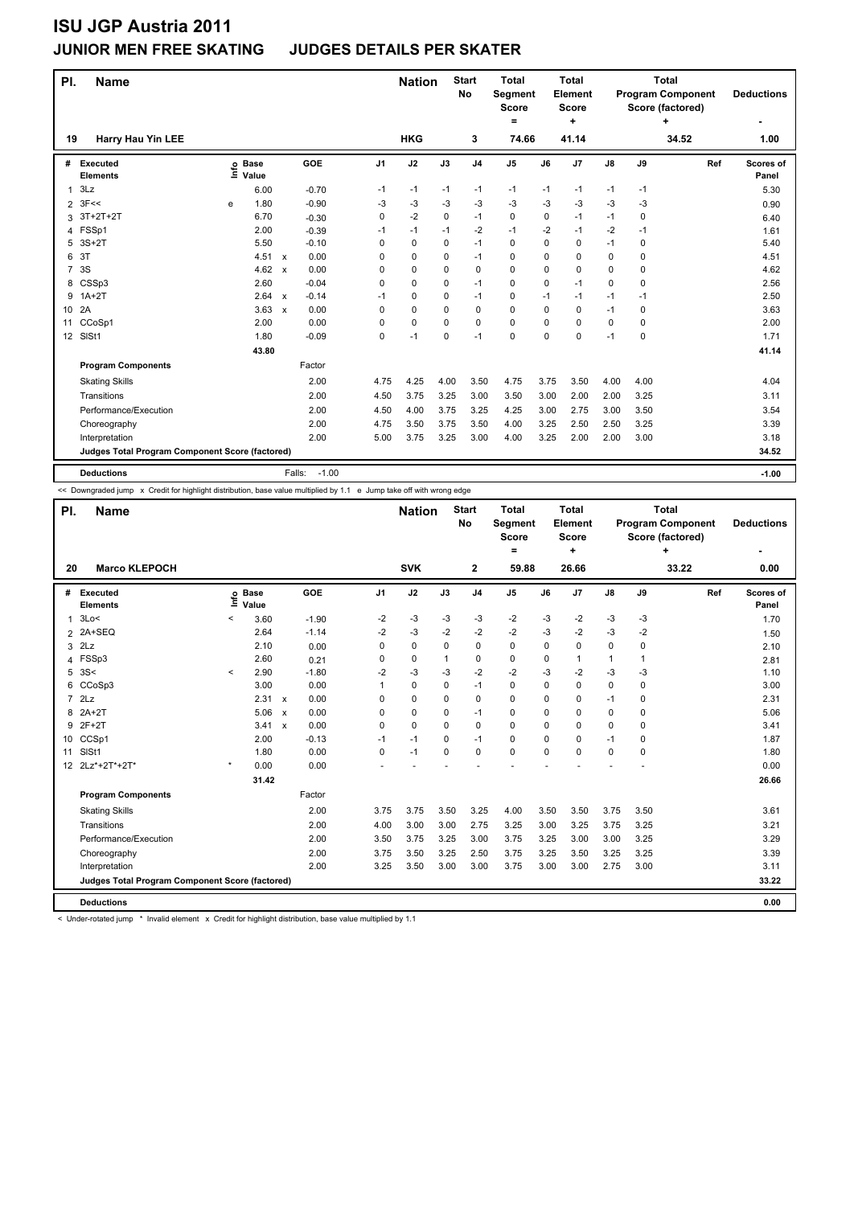### **JUNIOR MEN FREE SKATING JUDGES DETAILS PER SKATER**

| PI.             | <b>Name</b>                                     |      |                      |                           |                   |                | <b>Nation</b> |      | <b>Start</b><br><b>No</b> | <b>Total</b><br><b>Segment</b><br><b>Score</b><br>= |          | <b>Total</b><br>Element<br><b>Score</b><br>÷ |               |      | <b>Total</b><br><b>Program Component</b><br>Score (factored) | <b>Deductions</b>  |
|-----------------|-------------------------------------------------|------|----------------------|---------------------------|-------------------|----------------|---------------|------|---------------------------|-----------------------------------------------------|----------|----------------------------------------------|---------------|------|--------------------------------------------------------------|--------------------|
| 19              | <b>Harry Hau Yin LEE</b>                        |      |                      |                           |                   |                | <b>HKG</b>    |      | 3                         | 74.66                                               |          | 41.14                                        |               |      | 34.52                                                        | 1.00               |
| #               | <b>Executed</b><br><b>Elements</b>              | lnfo | <b>Base</b><br>Value |                           | <b>GOE</b>        | J <sub>1</sub> | J2            | J3   | J <sub>4</sub>            | J <sub>5</sub>                                      | J6       | J7                                           | $\mathsf{J}8$ | J9   | Ref                                                          | Scores of<br>Panel |
| 1               | 3Lz                                             |      | 6.00                 |                           | $-0.70$           | $-1$           | $-1$          | $-1$ | $-1$                      | $-1$                                                | $-1$     | $-1$                                         | $-1$          | $-1$ |                                                              | 5.30               |
| $\overline{2}$  | 3F<<                                            | e    | 1.80                 |                           | $-0.90$           | -3             | -3            | $-3$ | $-3$                      | $-3$                                                | $-3$     | $-3$                                         | $-3$          | -3   |                                                              | 0.90               |
| 3               | $3T+2T+2T$                                      |      | 6.70                 |                           | $-0.30$           | 0              | $-2$          | 0    | $-1$                      | 0                                                   | 0        | $-1$                                         | $-1$          | 0    |                                                              | 6.40               |
| $\overline{4}$  | FSSp1                                           |      | 2.00                 |                           | $-0.39$           | $-1$           | $-1$          | $-1$ | $-2$                      | $-1$                                                | $-2$     | $-1$                                         | $-2$          | $-1$ |                                                              | 1.61               |
| 5               | $3S+2T$                                         |      | 5.50                 |                           | $-0.10$           | 0              | 0             | 0    | $-1$                      | 0                                                   | 0        | 0                                            | $-1$          | 0    |                                                              | 5.40               |
| 6               | 3T                                              |      | $4.51 \times$        |                           | 0.00              | 0              | 0             | 0    | $-1$                      | 0                                                   | 0        | 0                                            | 0             | 0    |                                                              | 4.51               |
| $\overline{7}$  | 3S                                              |      | 4.62                 | $\mathsf{x}$              | 0.00              | 0              | 0             | 0    | 0                         | 0                                                   | 0        | 0                                            | 0             | 0    |                                                              | 4.62               |
| 8               | CSSp3                                           |      | 2.60                 |                           | $-0.04$           | 0              | 0             | 0    | $-1$                      | 0                                                   | 0        | $-1$                                         | 0             | 0    |                                                              | 2.56               |
| 9               | $1A+2T$                                         |      | 2.64                 | $\mathsf{x}$              | $-0.14$           | $-1$           | 0             | 0    | $-1$                      | 0                                                   | -1       | $-1$                                         | $-1$          | -1   |                                                              | 2.50               |
| 10 <sup>1</sup> | 2A                                              |      | 3.63                 | $\boldsymbol{\mathsf{x}}$ | 0.00              | 0              | 0             | 0    | $\mathbf 0$               | 0                                                   | 0        | 0                                            | $-1$          | 0    |                                                              | 3.63               |
| 11              | CCoSp1                                          |      | 2.00                 |                           | 0.00              | 0              | $\mathbf 0$   | 0    | $\mathbf 0$               | 0                                                   | $\Omega$ | 0                                            | $\mathbf 0$   | 0    |                                                              | 2.00               |
|                 | 12 SISt1                                        |      | 1.80                 |                           | $-0.09$           | 0              | $-1$          | 0    | $-1$                      | 0                                                   | 0        | 0                                            | $-1$          | 0    |                                                              | 1.71               |
|                 |                                                 |      | 43.80                |                           |                   |                |               |      |                           |                                                     |          |                                              |               |      |                                                              | 41.14              |
|                 | <b>Program Components</b>                       |      |                      |                           | Factor            |                |               |      |                           |                                                     |          |                                              |               |      |                                                              |                    |
|                 | <b>Skating Skills</b>                           |      |                      |                           | 2.00              | 4.75           | 4.25          | 4.00 | 3.50                      | 4.75                                                | 3.75     | 3.50                                         | 4.00          | 4.00 |                                                              | 4.04               |
|                 | Transitions                                     |      |                      |                           | 2.00              | 4.50           | 3.75          | 3.25 | 3.00                      | 3.50                                                | 3.00     | 2.00                                         | 2.00          | 3.25 |                                                              | 3.11               |
|                 | Performance/Execution                           |      |                      |                           | 2.00              | 4.50           | 4.00          | 3.75 | 3.25                      | 4.25                                                | 3.00     | 2.75                                         | 3.00          | 3.50 |                                                              | 3.54               |
|                 | Choreography                                    |      |                      |                           | 2.00              | 4.75           | 3.50          | 3.75 | 3.50                      | 4.00                                                | 3.25     | 2.50                                         | 2.50          | 3.25 |                                                              | 3.39               |
|                 | Interpretation                                  |      |                      |                           | 2.00              | 5.00           | 3.75          | 3.25 | 3.00                      | 4.00                                                | 3.25     | 2.00                                         | 2.00          | 3.00 |                                                              | 3.18               |
|                 | Judges Total Program Component Score (factored) |      |                      |                           |                   |                |               |      |                           |                                                     |          |                                              |               |      |                                                              | 34.52              |
|                 | <b>Deductions</b>                               |      |                      |                           | $-1.00$<br>Falls: |                |               |      |                           |                                                     |          |                                              |               |      |                                                              | $-1.00$            |

<< Downgraded jump x Credit for highlight distribution, base value multiplied by 1.1 e Jump take off with wrong edge

| PI.            | <b>Name</b>                                     |         |                            |                      |                | <b>Nation</b> |      | <b>Start</b><br><b>No</b> | <b>Total</b><br>Segment<br><b>Score</b><br>= |      | <b>Total</b><br>Element<br>Score<br>÷ |               |          | <b>Total</b><br><b>Program Component</b><br>Score (factored)<br>÷ | <b>Deductions</b>  |
|----------------|-------------------------------------------------|---------|----------------------------|----------------------|----------------|---------------|------|---------------------------|----------------------------------------------|------|---------------------------------------|---------------|----------|-------------------------------------------------------------------|--------------------|
| 20             | <b>Marco KLEPOCH</b>                            |         |                            |                      |                | <b>SVK</b>    |      | $\mathbf{2}$              | 59.88                                        |      | 26.66                                 |               |          | 33.22                                                             | 0.00               |
| #              | <b>Executed</b><br><b>Elements</b>              |         | e Base<br>E Value<br>Value | <b>GOE</b>           | J <sub>1</sub> | J2            | J3   | J <sub>4</sub>            | J <sub>5</sub>                               | J6   | J7                                    | $\mathsf{J}8$ | J9       | Ref                                                               | Scores of<br>Panel |
| 1              | 3Lo<                                            | $\,<\,$ | 3.60                       | $-1.90$              | $-2$           | $-3$          | $-3$ | $-3$                      | $-2$                                         | $-3$ | $-2$                                  | $-3$          | $-3$     |                                                                   | 1.70               |
|                | 2 2A+SEQ                                        |         | 2.64                       | $-1.14$              | $-2$           | -3            | $-2$ | $-2$                      | $-2$                                         | $-3$ | $-2$                                  | $-3$          | $-2$     |                                                                   | 1.50               |
| 3              | 2Lz                                             |         | 2.10                       | 0.00                 | 0              | 0             | 0    | $\mathbf 0$               | 0                                            | 0    | 0                                     | 0             | 0        |                                                                   | 2.10               |
| 4              | FSSp3                                           |         | 2.60                       | 0.21                 | 0              | 0             | 1    | $\mathbf 0$               | 0                                            | 0    | 1                                     | $\mathbf{1}$  | 1        |                                                                   | 2.81               |
| 5              | 3S<                                             | $\,<\,$ | 2.90                       | $-1.80$              | $-2$           | -3            | -3   | $-2$                      | $-2$                                         | -3   | $-2$                                  | $-3$          | $-3$     |                                                                   | 1.10               |
| 6              | CCoSp3                                          |         | 3.00                       | 0.00                 | 1              | 0             | 0    | $-1$                      | $\Omega$                                     | 0    | $\Omega$                              | 0             | $\Omega$ |                                                                   | 3.00               |
| $\overline{7}$ | 2Lz                                             |         | $2.31 \times$              | 0.00                 | 0              | 0             | 0    | 0                         | 0                                            | 0    | 0                                     | $-1$          | 0        |                                                                   | 2.31               |
| 8              | $2A+2T$                                         |         | 5.06                       | 0.00<br>$\mathsf{x}$ | $\Omega$       | 0             | 0    | $-1$                      | 0                                            | 0    | $\Omega$                              | 0             | 0        |                                                                   | 5.06               |
| 9              | $2F+2T$                                         |         | $3.41 \times$              | 0.00                 | $\Omega$       | 0             | 0    | $\mathbf 0$               | 0                                            | 0    | 0                                     | 0             | 0        |                                                                   | 3.41               |
| 10             | CCSp1                                           |         | 2.00                       | $-0.13$              | $-1$           | $-1$          | 0    | $-1$                      | 0                                            | 0    | 0                                     | $-1$          | 0        |                                                                   | 1.87               |
| 11             | SISt1                                           |         | 1.80                       | 0.00                 | 0              | $-1$          | 0    | 0                         | 0                                            | 0    | 0                                     | 0             | $\Omega$ |                                                                   | 1.80               |
|                | 12 2Lz*+2T*+2T*                                 | $\star$ | 0.00                       | 0.00                 |                |               |      |                           |                                              |      |                                       |               |          |                                                                   | 0.00               |
|                |                                                 |         | 31.42                      |                      |                |               |      |                           |                                              |      |                                       |               |          |                                                                   | 26.66              |
|                | <b>Program Components</b>                       |         |                            | Factor               |                |               |      |                           |                                              |      |                                       |               |          |                                                                   |                    |
|                | <b>Skating Skills</b>                           |         |                            | 2.00                 | 3.75           | 3.75          | 3.50 | 3.25                      | 4.00                                         | 3.50 | 3.50                                  | 3.75          | 3.50     |                                                                   | 3.61               |
|                | Transitions                                     |         |                            | 2.00                 | 4.00           | 3.00          | 3.00 | 2.75                      | 3.25                                         | 3.00 | 3.25                                  | 3.75          | 3.25     |                                                                   | 3.21               |
|                | Performance/Execution                           |         |                            | 2.00                 | 3.50           | 3.75          | 3.25 | 3.00                      | 3.75                                         | 3.25 | 3.00                                  | 3.00          | 3.25     |                                                                   | 3.29               |
|                | Choreography                                    |         |                            | 2.00                 | 3.75           | 3.50          | 3.25 | 2.50                      | 3.75                                         | 3.25 | 3.50                                  | 3.25          | 3.25     |                                                                   | 3.39               |
|                | Interpretation                                  |         |                            | 2.00                 | 3.25           | 3.50          | 3.00 | 3.00                      | 3.75                                         | 3.00 | 3.00                                  | 2.75          | 3.00     |                                                                   | 3.11               |
|                | Judges Total Program Component Score (factored) |         |                            |                      |                |               |      |                           |                                              |      |                                       |               |          |                                                                   | 33.22              |
|                | <b>Deductions</b>                               |         |                            |                      |                |               |      |                           |                                              |      |                                       |               |          |                                                                   | 0.00               |

< Under-rotated jump \* Invalid element x Credit for highlight distribution, base value multiplied by 1.1